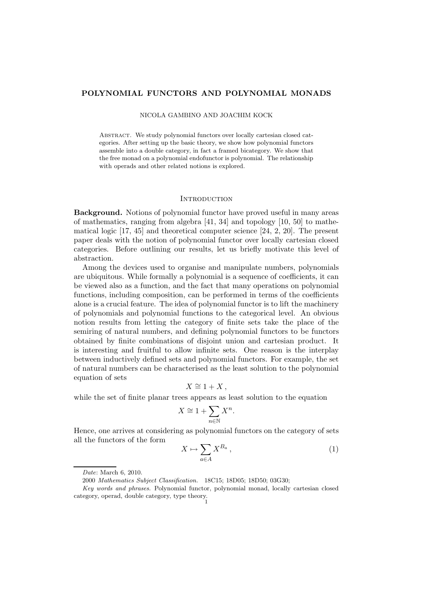## POLYNOMIAL FUNCTORS AND POLYNOMIAL MONADS

### NICOLA GAMBINO AND JOACHIM KOCK

ABSTRACT. We study polynomial functors over locally cartesian closed categories. After setting up the basic theory, we show how polynomial functors assemble into a double category, in fact a framed bicategory. We show that the free monad on a polynomial endofunctor is polynomial. The relationship with operads and other related notions is explored.

## **INTRODUCTION**

Background. Notions of polynomial functor have proved useful in many areas of mathematics, ranging from algebra [41, 34] and topology [10, 50] to mathematical logic [17, 45] and theoretical computer science [24, 2, 20]. The present paper deals with the notion of polynomial functor over locally cartesian closed categories. Before outlining our results, let us briefly motivate this level of abstraction.

Among the devices used to organise and manipulate numbers, polynomials are ubiquitous. While formally a polynomial is a sequence of coefficients, it can be viewed also as a function, and the fact that many operations on polynomial functions, including composition, can be performed in terms of the coefficients alone is a crucial feature. The idea of polynomial functor is to lift the machinery of polynomials and polynomial functions to the categorical level. An obvious notion results from letting the category of finite sets take the place of the semiring of natural numbers, and defining polynomial functors to be functors obtained by finite combinations of disjoint union and cartesian product. It is interesting and fruitful to allow infinite sets. One reason is the interplay between inductively defined sets and polynomial functors. For example, the set of natural numbers can be characterised as the least solution to the polynomial equation of sets

$$
X \cong 1 + X \,,
$$

while the set of finite planar trees appears as least solution to the equation

$$
X \cong 1 + \sum_{n \in \mathbb{N}} X^n.
$$

Hence, one arrives at considering as polynomial functors on the category of sets all the functors of the form

$$
X \mapsto \sum_{a \in A} X^{B_a} \,, \tag{1}
$$

*Date*: March 6, 2010.

<sup>2000</sup> *Mathematics Subject Classification.* 18C15; 18D05; 18D50; 03G30;

*Key words and phrases.* Polynomial functor, polynomial monad, locally cartesian closed category, operad, double category, type theory.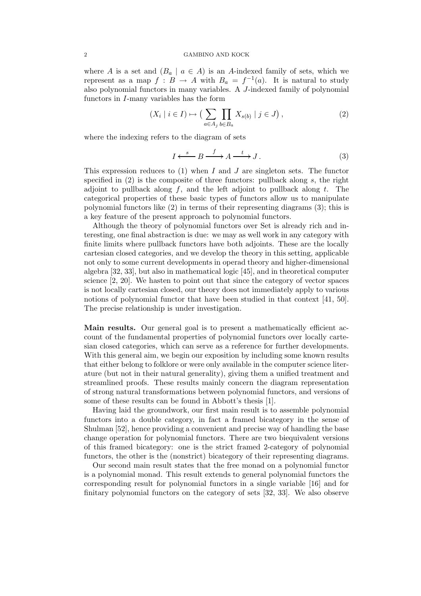#### 2 GAMBINO AND KOCK

where A is a set and  $(B_a \mid a \in A)$  is an A-indexed family of sets, which we represent as a map  $f : B \to A$  with  $B_a = f^{-1}(a)$ . It is natural to study also polynomial functors in many variables. A J-indexed family of polynomial functors in I-many variables has the form

$$
(X_i \mid i \in I) \mapsto \left(\sum_{a \in A_j} \prod_{b \in B_a} X_{s(b)} \mid j \in J\right),\tag{2}
$$

where the indexing refers to the diagram of sets

$$
I \xleftarrow{s} B \xrightarrow{f} A \xrightarrow{t} J. \tag{3}
$$

This expression reduces to  $(1)$  when I and J are singleton sets. The functor specified in  $(2)$  is the composite of three functors: pullback along s, the right adjoint to pullback along  $f$ , and the left adjoint to pullback along  $t$ . The categorical properties of these basic types of functors allow us to manipulate polynomial functors like (2) in terms of their representing diagrams (3); this is a key feature of the present approach to polynomial functors.

Although the theory of polynomial functors over Set is already rich and interesting, one final abstraction is due: we may as well work in any category with finite limits where pullback functors have both adjoints. These are the locally cartesian closed categories, and we develop the theory in this setting, applicable not only to some current developments in operad theory and higher-dimensional algebra [32, 33], but also in mathematical logic [45], and in theoretical computer science [2, 20]. We hasten to point out that since the category of vector spaces is not locally cartesian closed, our theory does not immediately apply to various notions of polynomial functor that have been studied in that context [41, 50]. The precise relationship is under investigation.

Main results. Our general goal is to present a mathematically efficient account of the fundamental properties of polynomial functors over locally cartesian closed categories, which can serve as a reference for further developments. With this general aim, we begin our exposition by including some known results that either belong to folklore or were only available in the computer science literature (but not in their natural generality), giving them a unified treatment and streamlined proofs. These results mainly concern the diagram representation of strong natural transformations between polynomial functors, and versions of some of these results can be found in Abbott's thesis [1].

Having laid the groundwork, our first main result is to assemble polynomial functors into a double category, in fact a framed bicategory in the sense of Shulman [52], hence providing a convenient and precise way of handling the base change operation for polynomial functors. There are two biequivalent versions of this framed bicategory: one is the strict framed 2-category of polynomial functors, the other is the (nonstrict) bicategory of their representing diagrams.

Our second main result states that the free monad on a polynomial functor is a polynomial monad. This result extends to general polynomial functors the corresponding result for polynomial functors in a single variable [16] and for finitary polynomial functors on the category of sets [32, 33]. We also observe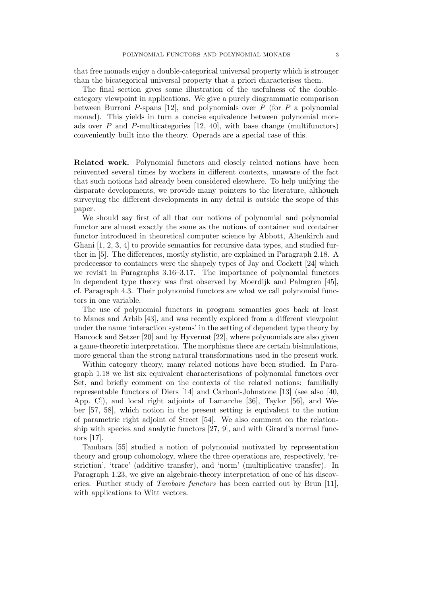that free monads enjoy a double-categorical universal property which is stronger than the bicategorical universal property that a priori characterises them.

The final section gives some illustration of the usefulness of the doublecategory viewpoint in applications. We give a purely diagrammatic comparison between Burroni P-spans [12], and polynomials over  $P$  (for P a polynomial) monad). This yields in turn a concise equivalence between polynomial monads over  $P$  and  $P$ -multicategories [12, 40], with base change (multifunctors) conveniently built into the theory. Operads are a special case of this.

Related work. Polynomial functors and closely related notions have been reinvented several times by workers in different contexts, unaware of the fact that such notions had already been considered elsewhere. To help unifying the disparate developments, we provide many pointers to the literature, although surveying the different developments in any detail is outside the scope of this paper.

We should say first of all that our notions of polynomial and polynomial functor are almost exactly the same as the notions of container and container functor introduced in theoretical computer science by Abbott, Altenkirch and Ghani [1, 2, 3, 4] to provide semantics for recursive data types, and studied further in [5]. The differences, mostly stylistic, are explained in Paragraph 2.18. A predecessor to containers were the shapely types of Jay and Cockett [24] which we revisit in Paragraphs 3.16–3.17. The importance of polynomial functors in dependent type theory was first observed by Moerdijk and Palmgren [45], cf. Paragraph 4.3. Their polynomial functors are what we call polynomial functors in one variable.

The use of polynomial functors in program semantics goes back at least to Manes and Arbib [43], and was recently explored from a different viewpoint under the name 'interaction systems' in the setting of dependent type theory by Hancock and Setzer [20] and by Hyvernat [22], where polynomials are also given a game-theoretic interpretation. The morphisms there are certain bisimulations, more general than the strong natural transformations used in the present work.

Within category theory, many related notions have been studied. In Paragraph 1.18 we list six equivalent characterisations of polynomial functors over Set, and briefly comment on the contexts of the related notions: familially representable functors of Diers [14] and Carboni-Johnstone [13] (see also [40, App. C]), and local right adjoints of Lamarche [36], Taylor [56], and Weber [57, 58], which notion in the present setting is equivalent to the notion of parametric right adjoint of Street [54]. We also comment on the relationship with species and analytic functors [27, 9], and with Girard's normal functors [17].

Tambara [55] studied a notion of polynomial motivated by representation theory and group cohomology, where the three operations are, respectively, 'restriction', 'trace' (additive transfer), and 'norm' (multiplicative transfer). In Paragraph 1.23, we give an algebraic-theory interpretation of one of his discoveries. Further study of *Tambara functors* has been carried out by Brun [11], with applications to Witt vectors.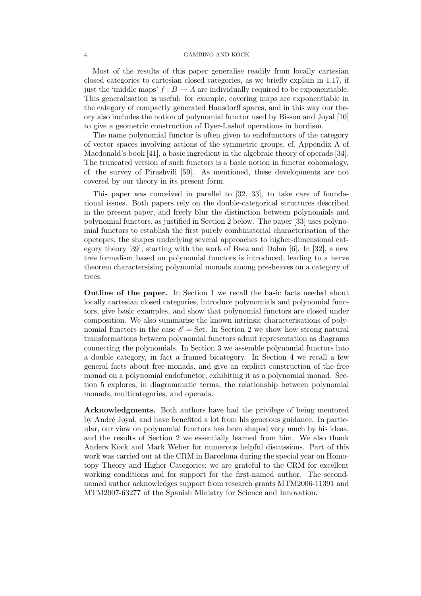#### 4 GAMBINO AND KOCK

Most of the results of this paper generalise readily from locally cartesian closed categories to cartesian closed categories, as we briefly explain in 1.17, if just the 'middle maps'  $f : B \to A$  are individually required to be exponentiable. This generalisation is useful: for example, covering maps are exponentiable in the category of compactly generated Hausdorff spaces, and in this way our theory also includes the notion of polynomial functor used by Bisson and Joyal [10] to give a geometric construction of Dyer-Lashof operations in bordism.

The name polynomial functor is often given to endofunctors of the category of vector spaces involving actions of the symmetric groups, cf. Appendix A of Macdonald's book [41], a basic ingredient in the algebraic theory of operads [34]. The truncated version of such functors is a basic notion in functor cohomology, cf. the survey of Pirashvili [50]. As mentioned, these developments are not covered by our theory in its present form.

This paper was conceived in parallel to [32, 33], to take care of foundational issues. Both papers rely on the double-categorical structures described in the present paper, and freely blur the distinction between polynomials and polynomial functors, as justified in Section 2 below. The paper [33] uses polynomial functors to establish the first purely combinatorial characterisation of the opetopes, the shapes underlying several approaches to higher-dimensional category theory [39], starting with the work of Baez and Dolan [6]. In [32], a new tree formalism based on polynomial functors is introduced, leading to a nerve theorem charactersising polynomial monads among presheaves on a category of trees.

Outline of the paper. In Section 1 we recall the basic facts needed about locally cartesian closed categories, introduce polynomials and polynomial functors, give basic examples, and show that polynomial functors are closed under composition. We also summarise the known intrinsic characterisations of polynomial functors in the case  $\mathscr{E} =$  Set. In Section 2 we show how strong natural transformations between polynomial functors admit representation as diagrams connecting the polynomials. In Section 3 we assemble polynomial functors into a double category, in fact a framed bicategory. In Section 4 we recall a few general facts about free monads, and give an explicit construction of the free monad on a polynomial endofunctor, exhibiting it as a polynomial monad. Section 5 explores, in diagrammatic terms, the relationship between polynomial monads, multicategories, and operads.

Acknowledgments. Both authors have had the privilege of being mentored by Andr´e Joyal, and have benefited a lot from his generous guidance. In particular, our view on polynomial functors has been shaped very much by his ideas, and the results of Section 2 we essentially learned from him. We also thank Anders Kock and Mark Weber for numerous helpful discussions. Part of this work was carried out at the CRM in Barcelona during the special year on Homotopy Theory and Higher Categories; we are grateful to the CRM for excellent working conditions and for support for the first-named author. The secondnamed author acknowledges support from research grants MTM2006-11391 and MTM2007-63277 of the Spanish Ministry for Science and Innovation.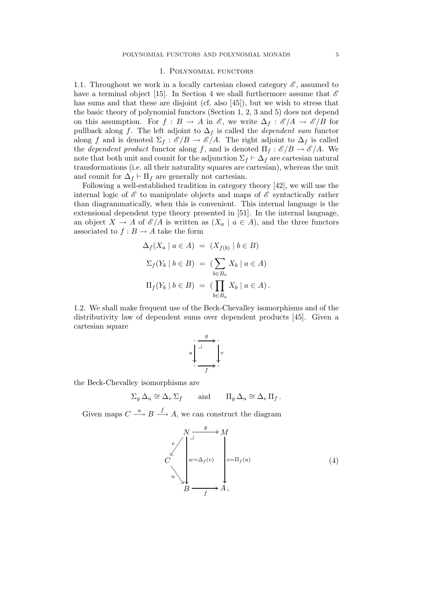## 1. Polynomial functors

1.1. Throughout we work in a locally cartesian closed category  $\mathscr{E}$ , assumed to have a terminal object [15]. In Section 4 we shall furthermore assume that  $\mathscr E$ has sums and that these are disjoint (cf. also [45]), but we wish to stress that the basic theory of polynomial functors (Section 1, 2, 3 and 5) does not depend on this assumption. For  $f : B \to A$  in  $\mathscr{E}$ , we write  $\Delta_f : \mathscr{E}/A \to \mathscr{E}/B$  for pullback along f. The left adjoint to  $\Delta_f$  is called the *dependent sum* functor along f and is denoted  $\Sigma_f : \mathscr{E}/B \to \mathscr{E}/A$ . The right adjoint to  $\Delta_f$  is called the *dependent product* functor along f, and is denoted  $\Pi_f : \mathcal{E}/B \to \mathcal{E}/A$ . We note that both unit and counit for the adjunction  $\Sigma_f \vdash \Delta_f$  are cartesian natural transformations (i.e. all their naturality squares are cartesian), whereas the unit and counit for  $\Delta_f$  ⊢  $\Pi_f$  are generally not cartesian.

Following a well-established tradition in category theory [42], we will use the internal logic of  $\mathscr E$  to manipulate objects and maps of  $\mathscr E$  syntactically rather than diagrammatically, when this is convenient. This internal language is the extensional dependent type theory presented in [51]. In the internal language, an object  $X \to A$  of  $\mathscr{E}/A$  is written as  $(X_a \mid a \in A)$ , and the three functors associated to  $f : B \to A$  take the form

$$
\Delta_f(X_a \mid a \in A) = (X_{f(b)} \mid b \in B)
$$
  

$$
\Sigma_f(Y_b \mid b \in B) = (\sum_{b \in B_a} X_b \mid a \in A)
$$
  

$$
\Pi_f(Y_b \mid b \in B) = (\prod_{b \in B_a} X_b \mid a \in A).
$$

1.2*.* We shall make frequent use of the Beck-Chevalley isomorphisms and of the distributivity law of dependent sums over dependent products [45]. Given a cartesian square

$$
u \downarrow \xrightarrow{g} v
$$
  

$$
\cdot \xrightarrow{g} v
$$
  

$$
f
$$

the Beck-Chevalley isomorphisms are

$$
\Sigma_g \, \Delta_u \cong \Delta_v \, \Sigma_f \qquad \text{and} \qquad \Pi_g \, \Delta_u \cong \Delta_v \, \Pi_f \, .
$$

Given maps  $C \stackrel{u}{\longrightarrow} B \stackrel{f}{\longrightarrow} A$ , we can construct the diagram

$$
C\begin{pmatrix} N & g & & M \\ & \downarrow & & M \\ & & \downarrow & & \\ w & \searrow & & \\ & & \searrow & & \\ & & & \searrow & \\ & & & B & \searrow & \\ & & & & A \end{pmatrix}, \qquad (4)
$$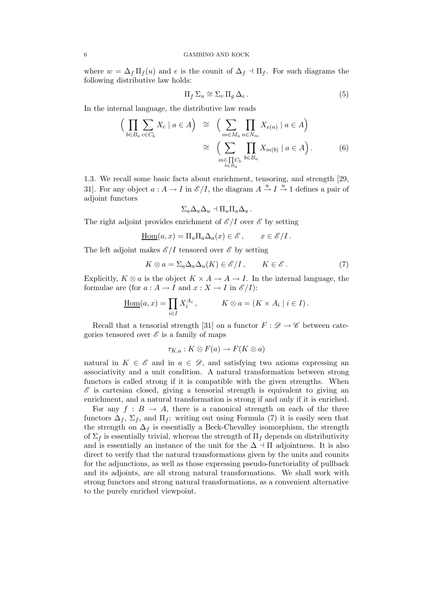where  $w = \Delta_f \Pi_f(u)$  and e is the counit of  $\Delta_f \Pi_f$ . For such diagrams the following distributive law holds:

$$
\Pi_f \Sigma_u \cong \Sigma_v \Pi_g \Delta_e \,. \tag{5}
$$

In the internal language, the distributive law reads

$$
\left(\prod_{b \in B_a} \sum_{c \in C_b} X_c \mid a \in A\right) \cong \left(\sum_{m \in M_a} \prod_{n \in N_m} X_{e(n)} \mid a \in A\right)
$$
\n
$$
\cong \left(\sum_{\substack{m \in \prod_{b \in B_a} C_b}} \prod_{b \in B_a} X_{m(b)} \mid a \in A\right). \tag{6}
$$

1.3*.* We recall some basic facts about enrichment, tensoring, and strength [29, 31]. For any object  $a: A \to I$  in  $\mathscr{E}/I$ , the diagram  $A \stackrel{a}{\to} I \stackrel{u}{\to} 1$  defines a pair of adjoint functors

$$
\Sigma_a \Delta_a \Delta_u \dashv \Pi_u \Pi_a \Delta_a.
$$

The right adjoint provides enrichment of  $\mathscr{E}/I$  over  $\mathscr{E}$  by setting

$$
\underline{\mathrm{Hom}}(a,x) = \Pi_u \Pi_a \Delta_a(x) \in \mathscr{E}, \qquad x \in \mathscr{E}/I.
$$

The left adjoint makes  $\mathscr{E}/I$  tensored over  $\mathscr{E}$  by setting

$$
K \otimes a = \Sigma_a \Delta_a \Delta_u(K) \in \mathscr{E}/I, \qquad K \in \mathscr{E}. \tag{7}
$$

Explicitly,  $K \otimes a$  is the object  $K \times A \to A \to I$ . In the internal language, the formulae are (for  $a : A \to I$  and  $x : X \to I$  in  $\mathcal{E}/I$ ):

$$
\underline{\mathrm{Hom}}(a,x) = \prod_{i \in I} X_i^{A_i}, \qquad K \otimes a = (K \times A_i \mid i \in I).
$$

Recall that a tensorial strength [31] on a functor  $F : \mathscr{D} \to \mathscr{C}$  between categories tensored over  $\mathscr E$  is a family of maps

$$
\tau_{K,a}: K \otimes F(a) \to F(K \otimes a)
$$

natural in  $K \in \mathscr{E}$  and in  $a \in \mathscr{D}$ , and satisfying two axioms expressing an associativity and a unit condition. A natural transformation between strong functors is called strong if it is compatible with the given strengths. When  $\mathscr E$  is cartesian closed, giving a tensorial strength is equivalent to giving an enrichment, and a natural transformation is strong if and only if it is enriched.

For any  $f : B \to A$ , there is a canonical strength on each of the three functors  $\Delta_f$ ,  $\Sigma_f$ , and  $\Pi_f$ : writing out using Formula (7) it is easily seen that the strength on  $\Delta_f$  is essentially a Beck-Chevalley isomorphism, the strength of  $\Sigma_f$  is essentially trivial, whereas the strength of  $\Pi_f$  depends on distributivity and is essentially an instance of the unit for the  $\Delta \dashv \Pi$  adjointness. It is also direct to verify that the natural transformations given by the units and counits for the adjunctions, as well as those expressing pseudo-functoriality of pullback and its adjoints, are all strong natural transformations. We shall work with strong functors and strong natural transformations, as a convenient alternative to the purely enriched viewpoint.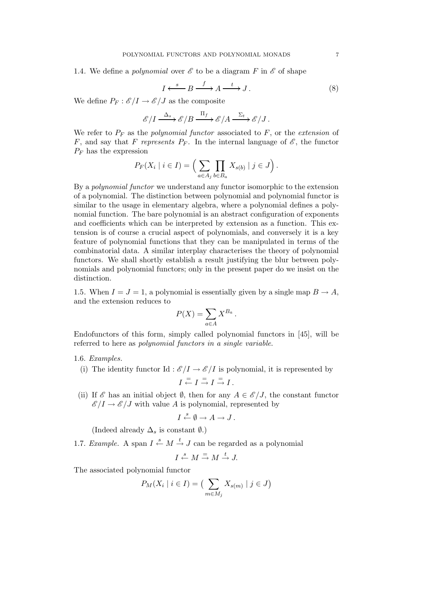1.4. We define a *polynomial* over  $\mathscr E$  to be a diagram F in  $\mathscr E$  of shape

$$
I \xleftarrow{s} B \xrightarrow{f} A \xrightarrow{t} J.
$$
 (8)

We define  $P_F : \mathscr{E}/I \to \mathscr{E}/J$  as the composite

$$
\mathscr{E}/I \xrightarrow{\Delta_s} \mathscr{E}/B \xrightarrow{\Pi_f} \mathscr{E}/A \xrightarrow{\Sigma_t} \mathscr{E}/J.
$$

We refer to  $P_F$  as the *polynomial functor* associated to  $F$ , or the *extension* of F, and say that F represents  $P_F$ . In the internal language of  $\mathscr{E}$ , the functor  $P_F$  has the expression

$$
P_F(X_i \mid i \in I) = \Big(\sum_{a \in A_j} \prod_{b \in B_a} X_{s(b)} \mid j \in J\Big).
$$

By a *polynomial functor* we understand any functor isomorphic to the extension of a polynomial. The distinction between polynomial and polynomial functor is similar to the usage in elementary algebra, where a polynomial defines a polynomial function. The bare polynomial is an abstract configuration of exponents and coefficients which can be interpreted by extension as a function. This extension is of course a crucial aspect of polynomials, and conversely it is a key feature of polynomial functions that they can be manipulated in terms of the combinatorial data. A similar interplay characterises the theory of polynomial functors. We shall shortly establish a result justifying the blur between polynomials and polynomial functors; only in the present paper do we insist on the distinction.

1.5. When  $I = J = 1$ , a polynomial is essentially given by a single map  $B \to A$ , and the extension reduces to

$$
P(X) = \sum_{a \in A} X^{B_a}.
$$

Endofunctors of this form, simply called polynomial functors in [45], will be referred to here as *polynomial functors in a single variable*.

### 1.6. *Examples.*

- (i) The identity functor Id :  $\mathscr{E}/I \to \mathscr{E}/I$  is polynomial, it is represented by  $I \stackrel{=}{\leftarrow} I \stackrel{=}{\rightarrow} I \stackrel{=}{\rightarrow} I$ .
- (ii) If  $\mathscr E$  has an initial object  $\emptyset$ , then for any  $A \in \mathscr E/J$ , the constant functor  $\mathscr{E}/I \to \mathscr{E}/J$  with value A is polynomial, represented by

$$
I \xleftarrow{s} \emptyset \to A \to J.
$$

(Indeed already  $\Delta_s$  is constant  $\emptyset$ .)

1.7. *Example*. A span  $I \xleftarrow{s} M \xrightarrow{t} J$  can be regarded as a polynomial

$$
I \xleftarrow{s} M \xrightarrow{=} M \xrightarrow{t} J.
$$

The associated polynomial functor

$$
P_M(X_i \mid i \in I) = \left(\sum_{m \in M_j} X_{s(m)} \mid j \in J\right)
$$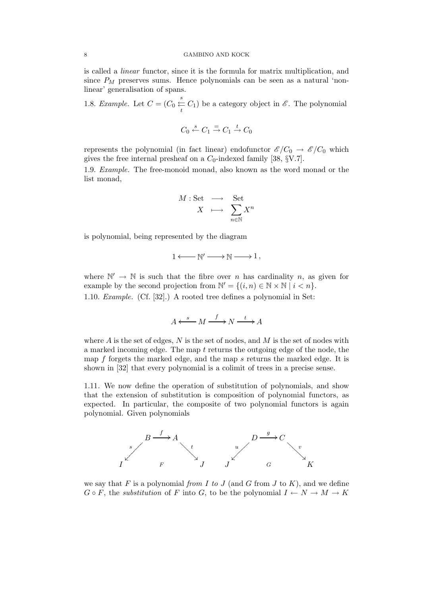#### 8 GAMBINO AND KOCK

is called a *linear* functor, since it is the formula for matrix multiplication, and since  $P_M$  preserves sums. Hence polynomials can be seen as a natural 'nonlinear' generalisation of spans.

1.8. *Example.* Let  $C = (C_0 \stackrel{s}{\leftarrow}$  $\frac{1}{t}$  C<sub>1</sub>) be a category object in  $\mathscr{E}$ . The polynomial

$$
C_0 \xleftarrow{s} C_1 \xrightarrow{=} C_1 \xrightarrow{t} C_0
$$

represents the polynomial (in fact linear) endofunctor  $\mathscr{E}/C_0 \to \mathscr{E}/C_0$  which gives the free internal presheaf on a  $C_0$ -indexed family [38, §V.7].

1.9. *Example.* The free-monoid monad, also known as the word monad or the list monad,

$$
\begin{array}{rcl} M: \text{Set} & \longrightarrow & \text{Set} \\ X & \longmapsto & \sum_{n \in \mathbb{N}} X^n \end{array}
$$

is polynomial, being represented by the diagram

$$
1 \longleftarrow {\Bbb N}' \longrightarrow {\Bbb N} \longrightarrow 1 \,,
$$

where  $\mathbb{N}' \to \mathbb{N}$  is such that the fibre over *n* has cardinality *n*, as given for example by the second projection from  $\mathbb{N}' = \{(i, n) \in \mathbb{N} \times \mathbb{N} \mid i < n\}.$ 1.10. *Example.* (Cf. [32].) A rooted tree defines a polynomial in Set:

$$
A \xleftarrow{s} M \xrightarrow{f} N \xrightarrow{t} A
$$

where  $A$  is the set of edges,  $N$  is the set of nodes, and  $M$  is the set of nodes with a marked incoming edge. The map  $t$  returns the outgoing edge of the node, the map f forgets the marked edge, and the map s returns the marked edge. It is shown in [32] that every polynomial is a colimit of trees in a precise sense.

1.11*.* We now define the operation of substitution of polynomials, and show that the extension of substitution is composition of polynomial functors, as expected. In particular, the composite of two polynomial functors is again polynomial. Given polynomials



we say that  $F$  is a polynomial *from*  $I$  *to*  $J$  (and  $G$  from  $J$  to  $K$ ), and we define  $G \circ F$ , the *substitution* of F into G, to be the polynomial  $I \leftarrow N \rightarrow M \rightarrow K$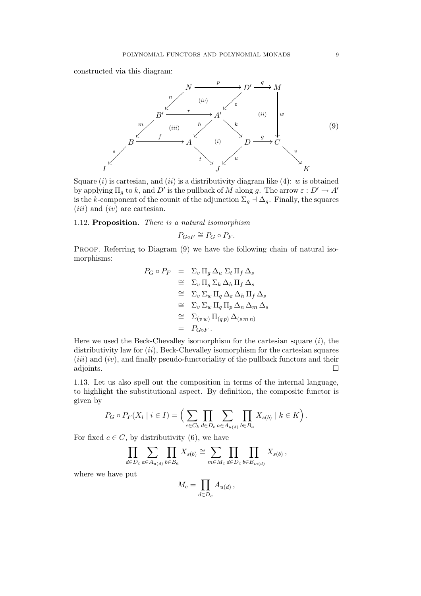constructed via this diagram:



Square  $(i)$  is cartesian, and  $(ii)$  is a distributivity diagram like  $(4)$ : w is obtained by applying  $\Pi_g$  to k, and  $D'$  is the pullback of M along g. The arrow  $\varepsilon : D' \to A'$ is the k-component of the counit of the adjunction  $\Sigma_g \dashv \Delta_g$ . Finally, the squares  $(iii)$  and  $(iv)$  are cartesian.

# 1.12. Proposition. *There is a natural isomorphism*

$$
P_{G \circ F} \cong P_G \circ P_F.
$$

PROOF. Referring to Diagram  $(9)$  we have the following chain of natural isomorphisms:

$$
P_G \circ P_F = \Sigma_v \Pi_g \Delta_u \Sigma_t \Pi_f \Delta_s
$$
  
\n
$$
\cong \Sigma_v \Pi_g \Sigma_k \Delta_h \Pi_f \Delta_s
$$
  
\n
$$
\cong \Sigma_v \Sigma_w \Pi_q \Delta_\varepsilon \Delta_h \Pi_f \Delta_s
$$
  
\n
$$
\cong \Sigma_v \Sigma_w \Pi_q \Pi_p \Delta_n \Delta_m \Delta_s
$$
  
\n
$$
\cong \Sigma_{(v \, w)} \Pi_{(q \, p)} \Delta_{(s \, m \, n)}
$$
  
\n
$$
= P_{G \circ F}.
$$

Here we used the Beck-Chevalley isomorphism for the cartesian square  $(i)$ , the distributivity law for  $(ii)$ , Beck-Chevalley isomorphism for the cartesian squares  $(iii)$  and  $(iv)$ , and finally pseudo-functoriality of the pullback functors and their adjoints.  $\Box$ 

1.13*.* Let us also spell out the composition in terms of the internal language, to highlight the substitutional aspect. By definition, the composite functor is given by

$$
P_G \circ P_F(X_i \mid i \in I) = \Big(\sum_{c \in C_k} \prod_{d \in D_c} \sum_{a \in A_{u(d)}} \prod_{b \in B_a} X_{s(b)} \mid k \in K\Big).
$$

For fixed  $c \in C$ , by distributivity (6), we have

$$
\prod_{d\in D_c}\sum_{a\in A_{u(d)}}\prod_{b\in B_a}X_{s(b)}\cong \sum_{m\in M_c}\prod_{d\in D_c}\prod_{b\in B_{m(d)}}X_{s(b)}\,,
$$

where we have put

$$
M_c = \prod_{d \in D_c} A_{u(d)}\,,
$$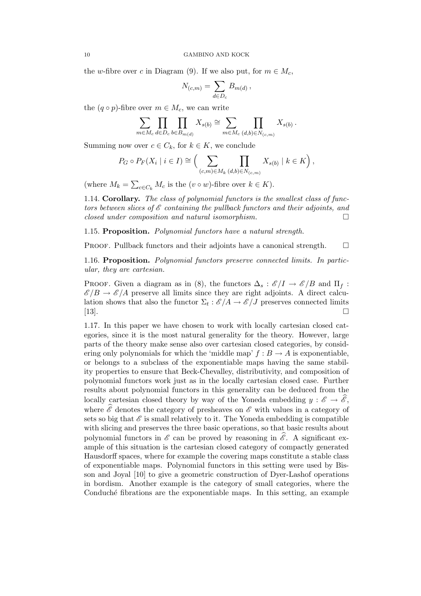the w-fibre over c in Diagram (9). If we also put, for  $m \in M_c$ ,

$$
N_{(c,m)} = \sum_{d \in D_c} B_{m(d)} ,
$$

the  $(q \circ p)$ -fibre over  $m \in M_c$ , we can write

$$
\sum_{m \in M_c} \prod_{d \in D_c} \prod_{b \in B_{m(d)}} X_{s(b)} \cong \sum_{m \in M_c} \prod_{(d,b) \in N_{(c,m)}} X_{s(b)}.
$$

Summing now over  $c \in C_k$ , for  $k \in K$ , we conclude

$$
P_G \circ P_F(X_i \mid i \in I) \cong \Big(\sum_{(c,m)\in M_k} \prod_{(d,b)\in N_{(c,m)}} X_{s(b)} \mid k \in K\Big),
$$

(where  $M_k = \sum_{c \in C_k} M_c$  is the  $(v \circ w)$ -fibre over  $k \in K$ ).

1.14. Corollary. *The class of polynomial functors is the smallest class of functors between slices of* E *containing the pullback functors and their adjoints, and closed under composition and natural isomorphism.*

1.15. Proposition. *Polynomial functors have a natural strength.*

**PROOF.** Pullback functors and their adjoints have a canonical strength.  $\square$ 

1.16. Proposition. *Polynomial functors preserve connected limits. In particular, they are cartesian.*

PROOF. Given a diagram as in (8), the functors  $\Delta_s : \mathscr{E}/I \to \mathscr{E}/B$  and  $\Pi_f :$  $\mathscr{E}/B \to \mathscr{E}/A$  preserve all limits since they are right adjoints. A direct calculation shows that also the functor  $\Sigma_t : \mathscr{E}/A \to \mathscr{E}/J$  preserves connected limits [13].

1.17*.* In this paper we have chosen to work with locally cartesian closed categories, since it is the most natural generality for the theory. However, large parts of the theory make sense also over cartesian closed categories, by considering only polynomials for which the 'middle map'  $f : B \to A$  is exponentiable, or belongs to a subclass of the exponentiable maps having the same stability properties to ensure that Beck-Chevalley, distributivity, and composition of polynomial functors work just as in the locally cartesian closed case. Further results about polynomial functors in this generality can be deduced from the locally cartesian closed theory by way of the Yoneda embedding  $y : \mathscr{E} \to \widehat{\mathscr{E}}$ , where  $\hat{\mathscr{E}}$  denotes the category of presheaves on  $\mathscr{E}$  with values in a category of sets so big that  $\mathscr E$  is small relatively to it. The Yoneda embedding is compatible with slicing and preserves the three basic operations, so that basic results about polynomial functors in  $\mathscr E$  can be proved by reasoning in  $\mathscr E$ . A significant example of this situation is the cartesian closed category of compactly generated Hausdorff spaces, where for example the covering maps constitute a stable class of exponentiable maps. Polynomial functors in this setting were used by Bisson and Joyal [10] to give a geometric construction of Dyer-Lashof operations in bordism. Another example is the category of small categories, where the Conduché fibrations are the exponentiable maps. In this setting, an example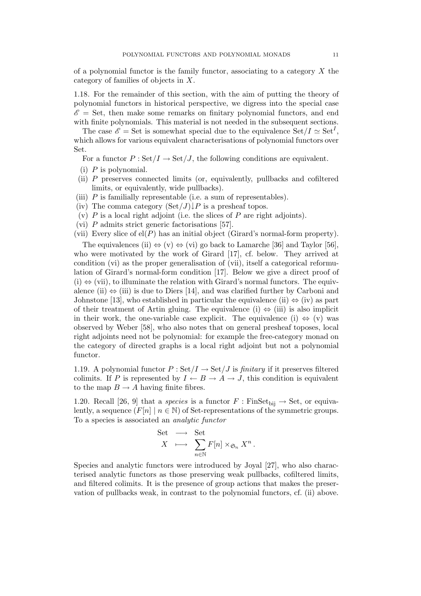of a polynomial functor is the family functor, associating to a category  $X$  the category of families of objects in X.

1.18*.* For the remainder of this section, with the aim of putting the theory of polynomial functors in historical perspective, we digress into the special case  $\mathscr{E} =$  Set, then make some remarks on finitary polynomial functors, and end with finite polynomials. This material is not needed in the subsequent sections.

The case  $\mathscr{E} = \text{Set}$  is somewhat special due to the equivalence  $\text{Set}/I \simeq \text{Set}^I$ , which allows for various equivalent characterisations of polynomial functors over Set.

For a functor  $P : \text{Set}/I \to \text{Set}/J$ , the following conditions are equivalent.

- $(i)$  P is polynomial.
- (ii) P preserves connected limits (or, equivalently, pullbacks and cofiltered limits, or equivalently, wide pullbacks).
- (iii) P is familially representable (i.e. a sum of representables).
- (iv) The comma category  $(\text{Set}/J)\downarrow P$  is a presheaf topos.
- (v)  $P$  is a local right adjoint (i.e. the slices of  $P$  are right adjoints).
- (vi) P admits strict generic factorisations [57].
- (vii) Every slice of  $el(P)$  has an initial object (Girard's normal-form property).

The equivalences (ii)  $\Leftrightarrow$  (v)  $\Leftrightarrow$  (vi) go back to Lamarche [36] and Taylor [56], who were motivated by the work of Girard [17], cf. below. They arrived at condition (vi) as the proper generalisation of (vii), itself a categorical reformulation of Girard's normal-form condition [17]. Below we give a direct proof of  $(i) \Leftrightarrow$  (vii), to illuminate the relation with Girard's normal functors. The equivalence (ii)  $\Leftrightarrow$  (iii) is due to Diers [14], and was clarified further by Carboni and Johnstone [13], who established in particular the equivalence (ii)  $\Leftrightarrow$  (iv) as part of their treatment of Artin gluing. The equivalence (i)  $\Leftrightarrow$  (iii) is also implicit in their work, the one-variable case explicit. The equivalence (i)  $\Leftrightarrow$  (v) was observed by Weber [58], who also notes that on general presheaf toposes, local right adjoints need not be polynomial: for example the free-category monad on the category of directed graphs is a local right adjoint but not a polynomial functor.

1.19*.* A polynomial functor  $P : \text{Set}/I \rightarrow \text{Set}/J$  is *finitary* if it preserves filtered colimits. If P is represented by  $I \leftarrow B \rightarrow A \rightarrow J$ , this condition is equivalent to the map  $B \to A$  having finite fibres.

1.20. Recall [26, 9] that a *species* is a functor  $F : \text{FinSet}_{\text{bii}} \to \text{Set}$ , or equivalently, a sequence  $(F[n] \mid n \in \mathbb{N})$  of Set-representations of the symmetric groups. To a species is associated an *analytic functor*

Set 
$$
\longrightarrow
$$
 Set  
 $X \longrightarrow \sum_{n \in \mathbb{N}} F[n] \times_{\mathfrak{S}_n} X^n$ .

Species and analytic functors were introduced by Joyal [27], who also characterised analytic functors as those preserving weak pullbacks, cofiltered limits, and filtered colimits. It is the presence of group actions that makes the preservation of pullbacks weak, in contrast to the polynomial functors, cf. (ii) above.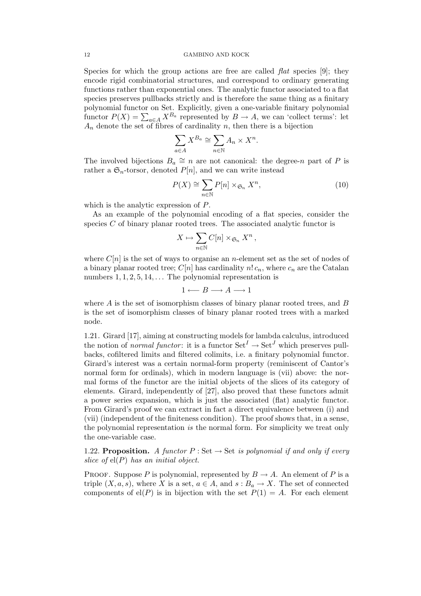Species for which the group actions are free are called *flat* species [9]; they encode rigid combinatorial structures, and correspond to ordinary generating functions rather than exponential ones. The analytic functor associated to a flat species preserves pullbacks strictly and is therefore the same thing as a finitary polynomial functor on Set. Explicitly, given a one-variable finitary polynomial functor  $P(X) = \sum_{a \in A} X^{B_a}$  represented by  $B \to A$ , we can 'collect terms': let  $A_n$  denote the set of fibres of cardinality n, then there is a bijection

$$
\sum_{a \in A} X^{B_a} \cong \sum_{n \in \mathbb{N}} A_n \times X^n.
$$

The involved bijections  $B_a \cong n$  are not canonical: the degree-n part of P is rather a  $\mathfrak{S}_n$ -torsor, denoted  $P[n]$ , and we can write instead

$$
P(X) \cong \sum_{n \in \mathbb{N}} P[n] \times_{\mathfrak{S}_n} X^n,
$$
\n(10)

which is the analytic expression of P.

As an example of the polynomial encoding of a flat species, consider the species  $C$  of binary planar rooted trees. The associated analytic functor is

$$
X \mapsto \sum_{n \in \mathbb{N}} C[n] \times_{\mathfrak{S}_n} X^n,
$$

where  $C[n]$  is the set of ways to organise an *n*-element set as the set of nodes of a binary planar rooted tree;  $C[n]$  has cardinality  $n! c_n$ , where  $c_n$  are the Catalan numbers  $1, 1, 2, 5, 14, \ldots$  The polynomial representation is

$$
1 \longleftarrow B \longrightarrow A \longrightarrow 1
$$

where  $A$  is the set of isomorphism classes of binary planar rooted trees, and  $B$ is the set of isomorphism classes of binary planar rooted trees with a marked node.

1.21*.* Girard [17], aiming at constructing models for lambda calculus, introduced the notion of *normal functor*: it is a functor  $\operatorname{Set}^I \to \operatorname{Set}^J$  which preserves pullbacks, cofiltered limits and filtered colimits, i.e. a finitary polynomial functor. Girard's interest was a certain normal-form property (reminiscent of Cantor's normal form for ordinals), which in modern language is (vii) above: the normal forms of the functor are the initial objects of the slices of its category of elements. Girard, independently of [27], also proved that these functors admit a power series expansion, which is just the associated (flat) analytic functor. From Girard's proof we can extract in fact a direct equivalence between (i) and (vii) (independent of the finiteness condition). The proof shows that, in a sense, the polynomial representation *is* the normal form. For simplicity we treat only the one-variable case.

1.22. **Proposition.** *A functor*  $P : Set \rightarrow Set$  *is polynomial if and only if every slice of* el(P) *has an initial object.*

PROOF. Suppose P is polynomial, represented by  $B \to A$ . An element of P is a triple  $(X, a, s)$ , where X is a set,  $a \in A$ , and  $s : B_a \to X$ . The set of connected components of el(P) is in bijection with the set  $P(1) = A$ . For each element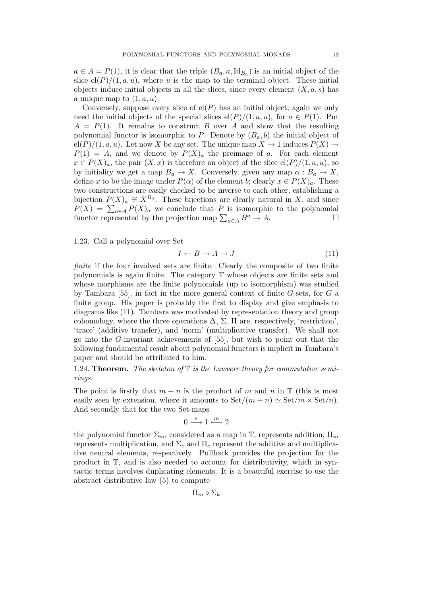$a \in A = P(1)$ , it is clear that the triple  $(B_a, a, \mathrm{Id}_{B_a})$  is an initial object of the slice  $\text{el}(P)/(1,a,u)$ , where u is the map to the terminal object. These initial objects induce initial objects in all the slices, since every element  $(X, a, s)$  has a unique map to  $(1, a, u)$ .

Conversely, suppose every slice of  $el(P)$  has an initial object; again we only need the initial objects of the special slices  $\frac{el(P)}{1, a, u}$ , for  $a \in P(1)$ . Put  $A = P(1)$ . It remains to construct B over A and show that the resulting polynomial functor is isomorphic to P. Denote by  $(B_a, b)$  the initial object of  $\text{el}(P)/(1,a,u)$ . Let now X be any set. The unique map  $X \to 1$  induces  $P(X) \to$  $P(1) = A$ , and we denote by  $P(X)<sub>a</sub>$  the preimage of a. For each element  $x \in P(X)_a$ , the pair  $(X, x)$  is therefore an object of the slice  $\mathrm{el}(P)/(1, a, u)$ , so by initiality we get a map  $B_a \to X$ . Conversely, given any map  $\alpha : B_a \to X$ , define x to be the image under  $P(\alpha)$  of the element b; clearly  $x \in P(X)<sub>a</sub>$ . These two constructions are easily checked to be inverse to each other, establishing a bijection  $P(X)_a \cong X^{B_a}$ . These bijections are clearly natural in X, and since  $P(X) = \sum_{a \in A} P(X)_{a}$  we conclude that P is isomorphic to the polynomial functor represented by the projection map  $\sum_{a \in A} B^a \to A$ .

1.23*.* Call a polynomial over Set

$$
I \leftarrow B \to A \to J \tag{11}
$$

*finite* if the four involved sets are finite. Clearly the composite of two finite polynomials is again finite. The category T whose objects are finite sets and whose morphisms are the finite polynomials (up to isomorphism) was studied by Tambara [55], in fact in the more general context of finite G-sets, for G a finite group. His paper is probably the first to display and give emphasis to diagrams like (11). Tambara was motivated by representation theory and group cohomology, where the three operations  $\Delta$ ,  $\Sigma$ ,  $\Pi$  are, respectively, 'restriction', 'trace' (additive transfer), and 'norm' (multiplicative transfer). We shall not go into the G-invariant achievements of [55], but wish to point out that the following fundamental result about polynomial functors is implicit in Tambara's paper and should be attributed to him.

1.24. Theorem. *The skeleton of* T *is the Lawvere theory for commutative semirings.*

The point is firstly that  $m + n$  is the product of m and n in  $\mathbb T$  (this is most easily seen by extension, where it amounts to  $Set/(m+n) \simeq Set/m \times Set/n$ . And secondly that for the two Set-maps

$$
0 \xrightarrow{e} 1 \xleftarrow{m} 2
$$

the polynomial functor  $\Sigma_m$ , considered as a map in  $\mathbb T$ , represents addition,  $\Pi_m$ represents multiplication, and  $\Sigma_e$  and  $\Pi_e$  represent the additive and multiplicative neutral elements, respectively. Pullback provides the projection for the product in T, and is also needed to account for distributivity, which in syntactic terms involves duplicating elements. It is a beautiful exercise to use the abstract distributive law (5) to compute

 $\Pi_m$  ο  $\Sigma_k$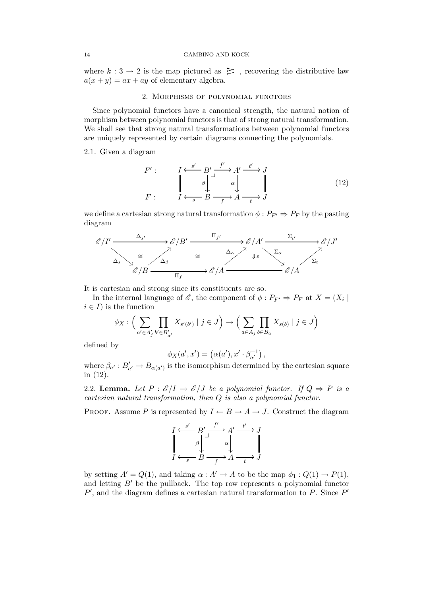where  $k: 3 \to 2$  is the map pictured as  $\geq$ , recovering the distributive law  $a(x + y) = ax + ay$  of elementary algebra.

## 2. Morphisms of polynomial functors

Since polynomial functors have a canonical strength, the natural notion of morphism between polynomial functors is that of strong natural transformation. We shall see that strong natural transformations between polynomial functors are uniquely represented by certain diagrams connecting the polynomials.

## 2.1*.* Given a diagram

F

$$
F': \qquad \qquad I \xleftarrow{s'} B' \xrightarrow{f'} A' \xrightarrow{t'} J
$$
\n
$$
F: \qquad \qquad I \xleftarrow{s} B \xrightarrow{f} A \xrightarrow{t} J
$$
\n
$$
(12)
$$

we define a cartesian strong natural transformation  $\phi : P_{F'} \Rightarrow P_F$  by the pasting diagram



It is cartesian and strong since its constituents are so.

In the internal language of  $\mathscr{E}$ , the component of  $\phi : P_{F'} \Rightarrow P_F$  at  $X = (X_i |$  $i \in I$ ) is the function

$$
\phi_X : \Big(\sum_{a' \in A'_j} \prod_{b' \in B'_{a'}} X_{s'(b')} \mid j \in J\Big) \to \Big(\sum_{a \in A_j} \prod_{b \in B_a} X_{s(b)} \mid j \in J\Big)
$$

defined by

$$
\phi_X(a',x') = (\alpha(a'), x' \cdot \beta_{a'}^{-1}),
$$

where  $\beta_{a'} : B'_{a'} \to B_{\alpha(a')}$  is the isomorphism determined by the cartesian square in (12).

2.2. **Lemma.** Let  $P : \mathcal{E}/I \to \mathcal{E}/J$  be a polynomial functor. If  $Q \Rightarrow P$  is a *cartesian natural transformation, then* Q *is also a polynomial functor.*

PROOF. Assume P is represented by  $I \leftarrow B \rightarrow A \rightarrow J$ . Construct the diagram

$$
I \xleftarrow{s'} B' \xrightarrow{f'} A' \xrightarrow{t'} J
$$
  

$$
\downarrow \qquad \qquad \downarrow \qquad \qquad \downarrow
$$
  

$$
I \xleftarrow{s} B \xrightarrow{f} A \xrightarrow{t} J
$$

by setting  $A' = Q(1)$ , and taking  $\alpha : A' \to A$  to be the map  $\phi_1 : Q(1) \to P(1)$ , and letting  $B'$  be the pullback. The top row represents a polynomial functor  $P'$ , and the diagram defines a cartesian natural transformation to  $P$ . Since  $P'$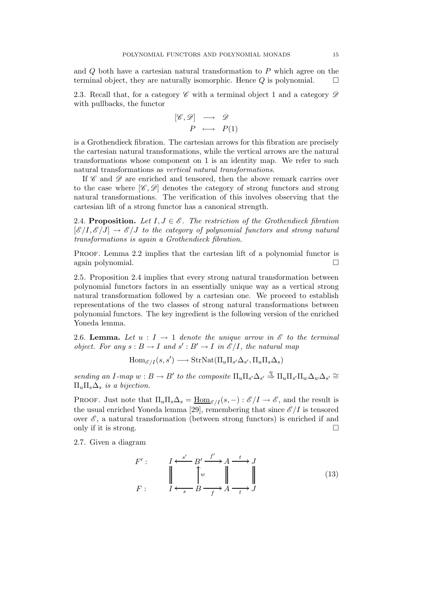and Q both have a cartesian natural transformation to P which agree on the terminal object, they are naturally isomorphic. Hence  $Q$  is polynomial.  $\Box$ 

2.3. Recall that, for a category  $\mathscr C$  with a terminal object 1 and a category  $\mathscr D$ with pullbacks, the functor

$$
\begin{array}{rcl} [\mathscr{C}, \mathscr{D}] & \longrightarrow & \mathscr{D} \\ & P & \longmapsto & P(1) \end{array}
$$

is a Grothendieck fibration. The cartesian arrows for this fibration are precisely the cartesian natural transformations, while the vertical arrows are the natural transformations whose component on 1 is an identity map. We refer to such natural transformations as *vertical natural transformations*.

If  $\mathscr C$  and  $\mathscr D$  are enriched and tensored, then the above remark carries over to the case where  $[\mathscr{C}, \mathscr{D}]$  denotes the category of strong functors and strong natural transformations. The verification of this involves observing that the cartesian lift of a strong functor has a canonical strength.

2.4. Proposition. Let  $I, J \in \mathscr{E}$ . The restriction of the Grothendieck fibration  $[\mathscr{E}/I, \mathscr{E}/J] \rightarrow \mathscr{E}/J$  *to the category of polynomial functors and strong natural transformations is again a Grothendieck fibration.*

PROOF. Lemma 2.2 implies that the cartesian lift of a polynomial functor is again polynomial.

2.5*.* Proposition 2.4 implies that every strong natural transformation between polynomial functors factors in an essentially unique way as a vertical strong natural transformation followed by a cartesian one. We proceed to establish representations of the two classes of strong natural transformations between polynomial functors. The key ingredient is the following version of the enriched Yoneda lemma.

2.6. **Lemma.** Let  $u : I \to 1$  denote the unique arrow in  $\mathcal{E}$  to the terminal *object. For any*  $s : B \to I$  *and*  $s' : B' \to I$  *in*  $\mathscr{E}/I$ *, the natural map* 

 $\text{Hom}_{\mathscr{E}/I}(s,s') \longrightarrow \text{StrNat}(\Pi_u \Pi_{s'} \Delta_{s'}, \Pi_u \Pi_s \Delta_s)$ 

 $sending \ an \ I\text{-}map \ w : B \to B' \ to \ the \ composite \ \Pi_u \Pi_{s'} \Delta_{s'} \overset{\eta}{\Rightarrow} \Pi_u \Pi_{s'} \Pi_w \Delta_w \Delta_{s'} \cong$  $\Pi_u \Pi_s \Delta_s$  *is a bijection.* 

PROOF. Just note that  $\Pi_u \Pi_s \Delta_s = \underline{\text{Hom}}_{\mathscr{E}/I}(s, -) : \mathscr{E}/I \to \mathscr{E}$ , and the result is the usual enriched Yoneda lemma [29], remembering that since  $\mathscr{E}/I$  is tensored over  $\mathscr{E}$ , a natural transformation (between strong functors) is enriched if and only if it is strong.  $\Box$ 

2.7*.* Given a diagram

$$
F': \qquad I \xleftarrow{s'} B' \xrightarrow{f'} A \xrightarrow{t} J
$$
  

$$
F: \qquad I \xleftarrow{s} B \xrightarrow{f} A \xrightarrow{t} J
$$
 (13)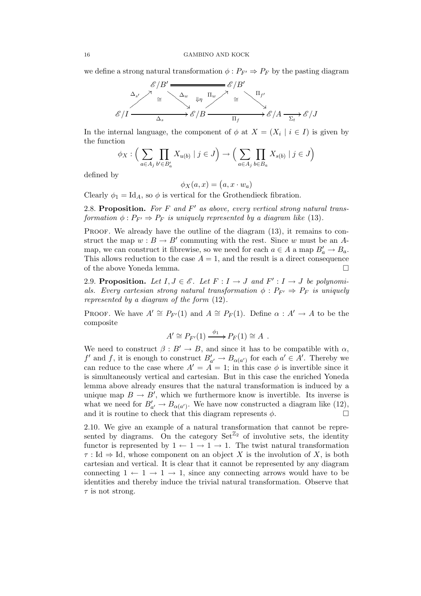we define a strong natural transformation  $\phi : P_{F'} \Rightarrow P_F$  by the pasting diagram



In the internal language, the component of  $\phi$  at  $X = (X_i \mid i \in I)$  is given by the function

$$
\phi_X : \Big(\sum_{a \in A_j} \prod_{b' \in B'_a} X_{u(b)} \mid j \in J\Big) \to \Big(\sum_{a \in A_j} \prod_{b \in B_a} X_{s(b)} \mid j \in J\Big)
$$

defined by

$$
\phi_X(a,x) = (a, x \cdot w_a)
$$

Clearly  $\phi_1 = \text{Id}_A$ , so  $\phi$  is vertical for the Grothendieck fibration.

2.8. Proposition. *For* F *and* F ′ *as above, every vertical strong natural transformation*  $\phi : P_{F'} \Rightarrow P_F$  *is uniquely represented by a diagram like* (13)*.* 

PROOF. We already have the outline of the diagram  $(13)$ , it remains to construct the map  $w : B \to B'$  commuting with the rest. Since w must be an Amap, we can construct it fibrewise, so we need for each  $a \in A$  a map  $B'_a \to B_a$ . This allows reduction to the case  $A = 1$ , and the result is a direct consequence of the above Yoneda lemma.

2.9. Proposition. Let  $I, J \in \mathscr{E}$ . Let  $F : I \to J$  and  $F' : I \to J$  be polynomi*als. Every cartesian strong natural transformation*  $\phi$  :  $P_{F'} \Rightarrow P_F$  *is uniquely represented by a diagram of the form* (12)*.*

PROOF. We have  $A' \cong P_{F'}(1)$  and  $A \cong P_F(1)$ . Define  $\alpha : A' \to A$  to be the composite

$$
A' \cong P_{F'}(1) \xrightarrow{\phi_1} P_F(1) \cong A .
$$

We need to construct  $\beta : B' \to B$ , and since it has to be compatible with  $\alpha$ ,  $f'$  and  $f$ , it is enough to construct  $B'_{a'} \to B_{\alpha(a')}$  for each  $a' \in A'$ . Thereby we can reduce to the case where  $A' = A = 1$ ; in this case  $\phi$  is invertible since it is simultaneously vertical and cartesian. But in this case the enriched Yoneda lemma above already ensures that the natural transformation is induced by a unique map  $B \to B'$ , which we furthermore know is invertible. Its inverse is what we need for  $B'_{a'} \to B_{\alpha(a')}$ . We have now constructed a diagram like (12), and it is routine to check that this diagram represents  $\phi$ .

2.10*.* We give an example of a natural transformation that cannot be represented by diagrams. On the category  $\text{Set}^{\mathbb{Z}_2}$  of involutive sets, the identity functor is represented by  $1 \leftarrow 1 \rightarrow 1 \rightarrow 1$ . The twist natural transformation  $\tau : \text{Id} \Rightarrow \text{Id}$ , whose component on an object X is the involution of X, is both cartesian and vertical. It is clear that it cannot be represented by any diagram connecting  $1 \leftarrow 1 \rightarrow 1 \rightarrow 1$ , since any connecting arrows would have to be identities and thereby induce the trivial natural transformation. Observe that  $\tau$  is not strong.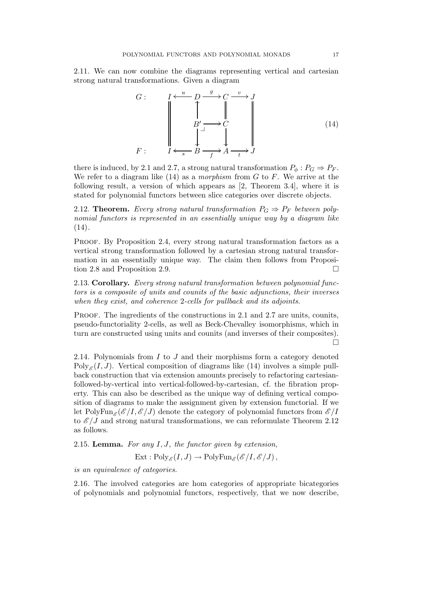2.11*.* We can now combine the diagrams representing vertical and cartesian strong natural transformations. Given a diagram

$$
G: \qquad I \xleftarrow{u} D \xrightarrow{g} C \xrightarrow{v} J
$$
\n
$$
B' \xrightarrow{J} C
$$
\n
$$
\downarrow
$$
\n
$$
F: \qquad I \xleftarrow{s} B \xrightarrow{f} A \xrightarrow{t} J
$$
\n
$$
(14)
$$

there is induced, by 2.1 and 2.7, a strong natural transformation  $P_{\phi}: P_G \Rightarrow P_F$ . We refer to a diagram like (14) as a *morphism* from G to F. We arrive at the following result, a version of which appears as [2, Theorem 3.4], where it is stated for polynomial functors between slice categories over discrete objects.

2.12. **Theorem.** *Every strong natural transformation*  $P_G \Rightarrow P_F$  *between polynomial functors is represented in an essentially unique way by a diagram like* (14)*.*

PROOF. By Proposition 2.4, every strong natural transformation factors as a vertical strong transformation followed by a cartesian strong natural transformation in an essentially unique way. The claim then follows from Proposition 2.8 and Proposition 2.9.

2.13. Corollary. *Every strong natural transformation between polynomial functors is a composite of units and counits of the basic adjunctions, their inverses when they exist, and coherence* 2*-cells for pullback and its adjoints.*

PROOF. The ingredients of the constructions in 2.1 and 2.7 are units, counits, pseudo-functoriality 2-cells, as well as Beck-Chevalley isomorphisms, which in turn are constructed using units and counits (and inverses of their composites).  $\Box$ 

2.14*.* Polynomials from I to J and their morphisms form a category denoted Poly<sub>E</sub> $(I, J)$ . Vertical composition of diagrams like (14) involves a simple pullback construction that via extension amounts precisely to refactoring cartesianfollowed-by-vertical into vertical-followed-by-cartesian, cf. the fibration property. This can also be described as the unique way of defining vertical composition of diagrams to make the assignment given by extension functorial. If we let PolyFun<sub> $\mathscr{E}(\mathscr{E}/I,\mathscr{E}/J)$  denote the category of polynomial functors from  $\mathscr{E}/I$ </sub> to  $\mathscr{E}/J$  and strong natural transformations, we can reformulate Theorem 2.12 as follows.

2.15. Lemma. *For any* I,J*, the functor given by extension,*

 $\text{Ext}: \text{Poly}_{\mathscr{E}}(I,J) \to \text{PolyFun}_{\mathscr{E}}(\mathscr{E}/I,\mathscr{E}/J),$ 

*is an equivalence of categories.*

2.16*.* The involved categories are hom categories of appropriate bicategories of polynomials and polynomial functors, respectively, that we now describe,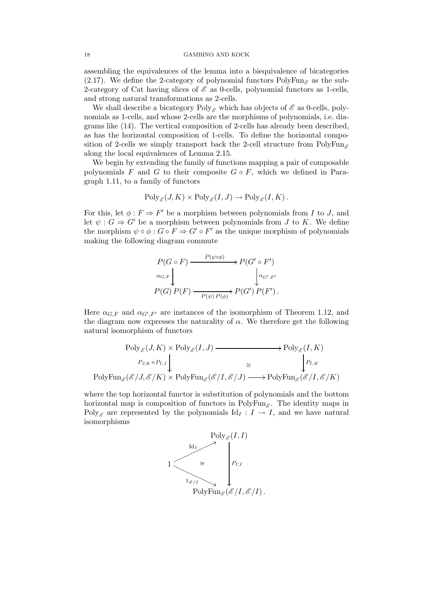assembling the equivalences of the lemma into a biequivalence of bicategories (2.17). We define the 2-category of polynomial functors  $PolyFun_{\mathscr{E}}$  as the sub-2-category of Cat having slices of  $\mathscr E$  as 0-cells, polynomial functors as 1-cells, and strong natural transformations as 2-cells.

We shall describe a bicategory  $Poly_{\mathscr{E}}$  which has objects of  $\mathscr{E}$  as 0-cells, polynomials as 1-cells, and whose 2-cells are the morphisms of polynomials, i.e. diagrams like (14). The vertical composition of 2-cells has already been described, as has the horizontal composition of 1-cells. To define the horizontal composition of 2-cells we simply transport back the 2-cell structure from PolyFun along the local equivalences of Lemma 2.15.

We begin by extending the family of functions mapping a pair of composable polynomials F and G to their composite  $G \circ F$ , which we defined in Paragraph 1.11, to a family of functors

$$
\text{Poly}_{\mathscr{E}}(J,K) \times \text{Poly}_{\mathscr{E}}(I,J) \to \text{Poly}_{\mathscr{E}}(I,K)
$$

For this, let  $\phi : F \Rightarrow F'$  be a morphism between polynomials from I to J, and let  $\psi : G \Rightarrow G'$  be a morphism between polynomials from J to K. We define the morphism  $\psi \circ \phi : G \circ F \Rightarrow G' \circ F'$  as the unique morphism of polynomials making the following diagram commute

$$
P(G \circ F) \xrightarrow{P(\psi \circ \phi)} P(G' \circ F')
$$
  

$$
\alpha_{G,F} \downarrow \qquad \qquad \downarrow \alpha_{G',F'}
$$
  

$$
P(G) P(F) \xrightarrow{P(\psi) P(\phi)} P(G') P(F').
$$

Here  $\alpha_{G,F}$  and  $\alpha_{G',F'}$  are instances of the isomorphism of Theorem 1.12, and the diagram now expresses the naturality of  $\alpha$ . We therefore get the following natural isomorphism of functors

$$
\text{Poly}_{\mathscr{E}}(J, K) \times \text{Poly}_{\mathscr{E}}(I, J) \longrightarrow \text{Poly}_{\mathscr{E}}(I, K)
$$
\n
$$
\xrightarrow{P_{J,K} \times P_{I,J}} \downarrow \qquad \qquad \xrightarrow{\cong} \qquad \qquad \downarrow P_{I,K}
$$
\n
$$
\text{PolyFun}_{\mathscr{E}}(\mathscr{E}/J, \mathscr{E}/K) \times \text{PolyFun}_{\mathscr{E}}(\mathscr{E}/I, \mathscr{E}/J) \longrightarrow \text{PolyFun}_{\mathscr{E}}(\mathscr{E}/I, \mathscr{E}/K)
$$

where the top horizontal functor is substitution of polynomials and the bottom horizontal map is composition of functors in  $PolyFun_{\mathscr{E}}$ . The identity maps in Poly<sub>E</sub> are represented by the polynomials Id<sub>I</sub> :  $I \rightarrow I$ , and we have natural isomorphisms

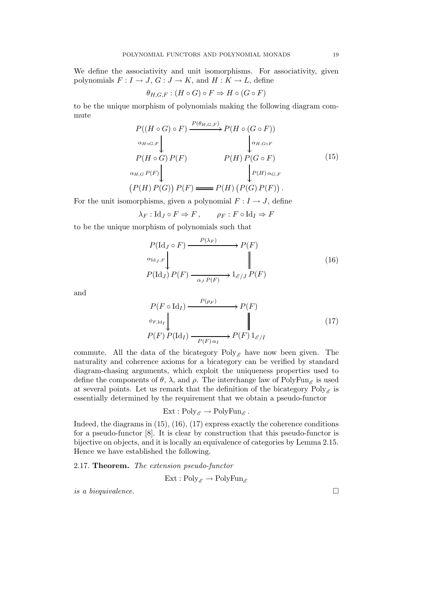We define the associativity and unit isomorphisms. For associativity, given polynomials  $F: I \to J$ ,  $G: J \to K$ , and  $H: K \to L$ , define

$$
\theta_{H,G,F}: (H \circ G) \circ F \Rightarrow H \circ (G \circ F)
$$

to be the unique morphism of polynomials making the following diagram commute

$$
P((H \circ G) \circ F) \xrightarrow{P(\theta_{H,G,F})} P(H \circ (G \circ F))
$$
  
\n
$$
\alpha_{H \circ G,F}
$$
\n
$$
P(H \circ G) P(F) \qquad P(H) P(G \circ F)
$$
  
\n
$$
\alpha_{H,G} P(F)
$$
\n
$$
\alpha_{H,G} P(F)
$$
\n
$$
(P(H) P(G)) P(F) \longrightarrow P(H) (P(G) P(F)).
$$
\n
$$
(15)
$$

For the unit isomorphisms, given a polynomial  $F: I \to J$ , define

$$
\lambda_F : \mathrm{Id}_J \circ F \Rightarrow F , \qquad \rho_F : F \circ \mathrm{Id}_I \Rightarrow F
$$

to be the unique morphism of polynomials such that

$$
P(\text{Id}_J \circ F) \xrightarrow{P(\lambda_F)} P(F)
$$
  
\n
$$
\alpha_{\text{Id}_J, F} \downarrow \qquad \qquad \parallel
$$
  
\n
$$
P(\text{Id}_J) P(F) \xrightarrow{\alpha_J P(F)} 1_{\mathcal{E}/J} P(F)
$$
\n(16)

and

$$
P(F \circ \text{Id}_I) \xrightarrow{P(\rho_F)} P(F)
$$
  
\n
$$
\phi_{F, \text{Id}_I} \downarrow \qquad \qquad \parallel
$$
  
\n
$$
P(F) P(\text{Id}_I) \xrightarrow{P(F) \alpha_I} P(F) 1_{\mathcal{E}/I}
$$
\n
$$
(17)
$$

commute. All the data of the bicategory Poly<sub> $\epsilon$ </sub> have now been given. The naturality and coherence axioms for a bicategory can be verified by standard diagram-chasing arguments, which exploit the uniqueness properties used to define the components of  $\theta$ ,  $\lambda$ , and  $\rho$ . The interchange law of PolyFun<sub>e</sub> is used at several points. Let us remark that the definition of the bicategory  $Poly_{\mathscr{E}}$  is essentially determined by the requirement that we obtain a pseudo-functor

$$
Ext: Poly_{\mathscr{E}} \to PolyFun_{\mathscr{E}}.
$$

Indeed, the diagrams in (15), (16), (17) express exactly the coherence conditions for a pseudo-functor [8]. It is clear by construction that this pseudo-functor is bijective on objects, and it is locally an equivalence of categories by Lemma 2.15. Hence we have established the following.

## 2.17. Theorem. *The extension pseudo-functor*

$$
Ext: Poly_{\mathscr{E}} \to PolyFun_{\mathscr{E}}
$$

*is a biequivalence.*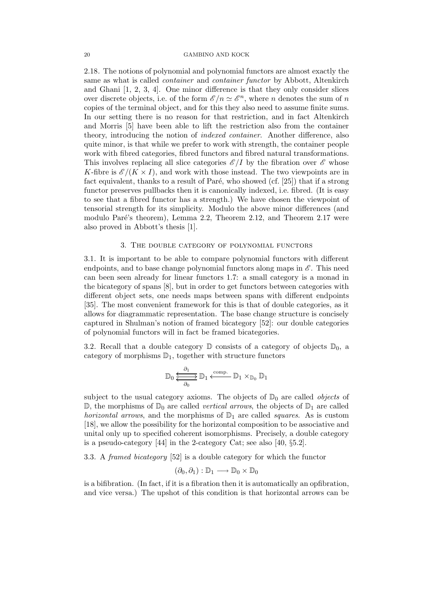2.18*.* The notions of polynomial and polynomial functors are almost exactly the same as what is called *container* and *container functor* by Abbott, Altenkirch and Ghani [1, 2, 3, 4]. One minor difference is that they only consider slices over discrete objects, i.e. of the form  $\mathscr{E}/n \simeq \mathscr{E}^n$ , where n denotes the sum of n copies of the terminal object, and for this they also need to assume finite sums. In our setting there is no reason for that restriction, and in fact Altenkirch and Morris [5] have been able to lift the restriction also from the container theory, introducing the notion of *indexed container*. Another difference, also quite minor, is that while we prefer to work with strength, the container people work with fibred categories, fibred functors and fibred natural transformations. This involves replacing all slice categories  $\mathscr{E}/I$  by the fibration over  $\mathscr{E}$  whose K-fibre is  $\mathscr{E}/(K \times I)$ , and work with those instead. The two viewpoints are in fact equivalent, thanks to a result of Paré, who showed (cf.  $[25]$ ) that if a strong functor preserves pullbacks then it is canonically indexed, i.e. fibred. (It is easy to see that a fibred functor has a strength.) We have chosen the viewpoint of tensorial strength for its simplicity. Modulo the above minor differences (and modulo Paré's theorem), Lemma 2.2, Theorem 2.12, and Theorem 2.17 were also proved in Abbott's thesis [1].

### 3. The double category of polynomial functors

3.1*.* It is important to be able to compare polynomial functors with different endpoints, and to base change polynomial functors along maps in  $\mathscr{E}$ . This need can been seen already for linear functors 1.7: a small category is a monad in the bicategory of spans [8], but in order to get functors between categories with different object sets, one needs maps between spans with different endpoints [35]. The most convenient framework for this is that of double categories, as it allows for diagrammatic representation. The base change structure is concisely captured in Shulman's notion of framed bicategory [52]: our double categories of polynomial functors will in fact be framed bicategories.

3.2. Recall that a double category  $\mathbb D$  consists of a category of objects  $\mathbb D_0$ , a category of morphisms  $\mathbb{D}_1$ , together with structure functors

$$
\mathbb{D}_0 \xleftrightarrow{\frac{\partial_1}{\partial_0}} \mathbb{D}_1 \xleftarrow{\text{comp.}} \mathbb{D}_1 \times_{\mathbb{D}_0} \mathbb{D}_1
$$

subject to the usual category axioms. The objects of  $\mathbb{D}_0$  are called *objects* of  $\mathbb{D}$ , the morphisms of  $\mathbb{D}_0$  are called *vertical arrows*, the objects of  $\mathbb{D}_1$  are called *horizontal arrows*, and the morphisms of  $\mathbb{D}_1$  are called *squares*. As is custom [18], we allow the possibility for the horizontal composition to be associative and unital only up to specified coherent isomorphisms. Precisely, a double category is a pseudo-category [44] in the 2-category Cat; see also [40, §5.2].

3.3*.* A *framed bicategory* [52] is a double category for which the functor

$$
(\partial_0,\partial_1):\mathbb{D}_1\longrightarrow \mathbb{D}_0\times \mathbb{D}_0
$$

is a bifibration. (In fact, if it is a fibration then it is automatically an opfibration, and vice versa.) The upshot of this condition is that horizontal arrows can be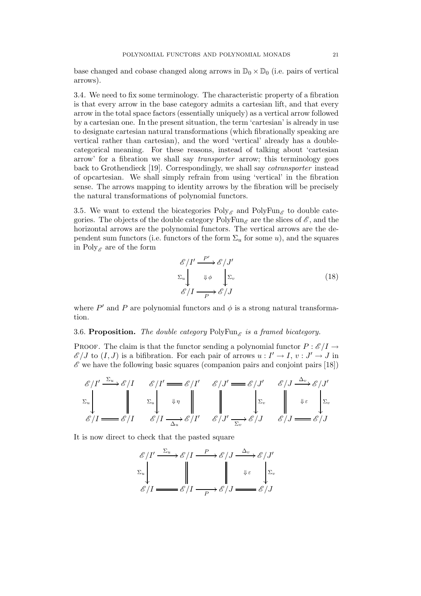base changed and cobase changed along arrows in  $\mathbb{D}_0 \times \mathbb{D}_0$  (i.e. pairs of vertical arrows).

3.4*.* We need to fix some terminology. The characteristic property of a fibration is that every arrow in the base category admits a cartesian lift, and that every arrow in the total space factors (essentially uniquely) as a vertical arrow followed by a cartesian one. In the present situation, the term 'cartesian' is already in use to designate cartesian natural transformations (which fibrationally speaking are vertical rather than cartesian), and the word 'vertical' already has a doublecategorical meaning. For these reasons, instead of talking about 'cartesian arrow' for a fibration we shall say *transporter* arrow; this terminology goes back to Grothendieck [19]. Correspondingly, we shall say *cotransporter* instead of opcartesian. We shall simply refrain from using 'vertical' in the fibration sense. The arrows mapping to identity arrows by the fibration will be precisely the natural transformations of polynomial functors.

3.5. We want to extend the bicategories  $Poly_{\mathscr{E}}$  and  $PolyFun_{\mathscr{E}}$  to double categories. The objects of the double category  $PolyFun_{\mathscr{E}}$  are the slices of  $\mathscr{E}$ , and the horizontal arrows are the polynomial functors. The vertical arrows are the dependent sum functors (i.e. functors of the form  $\Sigma_u$  for some u), and the squares in Poly<sub> $\mathcal{E}$ </sub> are of the form

$$
\mathcal{E}/I' \xrightarrow{P'} \mathcal{E}/J'
$$
  
\n
$$
\Sigma_u \downarrow \qquad \qquad \downarrow \phi \qquad \qquad \sum_v
$$
  
\n
$$
\mathcal{E}/I \xrightarrow{P} \mathcal{E}/J \qquad (18)
$$

where  $P'$  and P are polynomial functors and  $\phi$  is a strong natural transformation.

# 3.6. **Proposition.** The double category  $PolyFun_{\mathscr{E}}$  is a framed bicategory.

PROOF. The claim is that the functor sending a polynomial functor  $P : \mathscr{E}/I \to$  $\mathscr{E}/J$  to  $(I, J)$  is a bifibration. For each pair of arrows  $u: I' \to I$ ,  $v: J' \to J$  in  $\mathscr E$  we have the following basic squares (companion pairs and conjoint pairs [18])

$$
\begin{array}{c}\n\mathcal{E}/I' \xrightarrow{\Sigma_u} \mathcal{E}/I & \mathcal{E}/I' \longrightarrow \mathcal{E}/I' & \mathcal{E}/J' \longrightarrow \mathcal{E}/J' \\
\Sigma_u & \downarrow \Sigma_u & \downarrow \eta & \downarrow \eta & \downarrow \eta \\
\mathcal{E}/I \longrightarrow \mathcal{E}/I & \mathcal{E}/I \xrightarrow{\Delta_u} \mathcal{E}/I' & \mathcal{E}/J' \xrightarrow{\Sigma_v} \mathcal{E}/J & \mathcal{E}/J \longrightarrow \mathcal{E}/J\n\end{array}
$$

It is now direct to check that the pasted square

$$
\mathcal{E}/I' \xrightarrow{\Sigma_u} \mathcal{E}/I \xrightarrow{P} \mathcal{E}/J \xrightarrow{\Delta_v} \mathcal{E}/J'
$$
  

$$
\Sigma_u \downarrow \qquad \qquad \qquad \qquad \qquad \qquad \qquad \qquad \downarrow \varepsilon \qquad \qquad \downarrow \Sigma_v
$$
  

$$
\mathcal{E}/I \xrightarrow{\qquad \qquad \qquad \qquad \qquad \qquad \qquad \downarrow \varepsilon \qquad \qquad \downarrow \Sigma_v}
$$
  

$$
\mathcal{E}/I \xrightarrow{\qquad \qquad \qquad \qquad \qquad \qquad \qquad \downarrow \varepsilon \qquad \qquad \downarrow \Sigma_v}
$$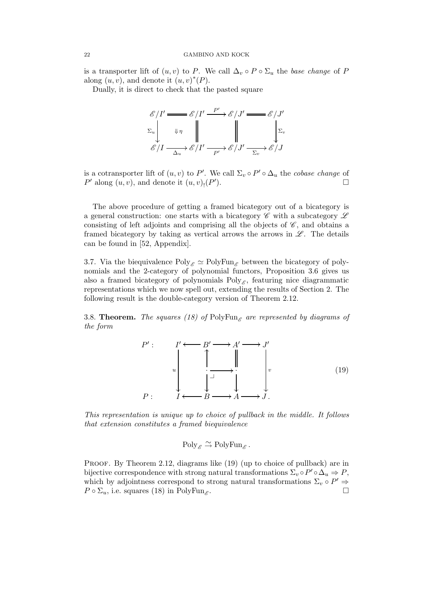is a transporter lift of  $(u, v)$  to P. We call  $\Delta_v \circ P \circ \Sigma_u$  the *base change* of P along  $(u, v)$ , and denote it  $(u, v)^*(P)$ .

Dually, it is direct to check that the pasted square

$$
\mathcal{E}/I' \longrightarrow \mathcal{E}/I' \longrightarrow \mathcal{E}/J' \longrightarrow \mathcal{E}/J'
$$
  
\n
$$
\Sigma_u \downarrow \qquad \qquad \downarrow \eta \qquad \qquad \downarrow \qquad \qquad \downarrow \Sigma_v
$$
  
\n
$$
\mathcal{E}/I \longrightarrow \mathcal{E}/I' \longrightarrow \mathcal{E}/J' \longrightarrow \mathcal{E}/J
$$

is a cotransporter lift of  $(u, v)$  to P'. We call  $\Sigma_v \circ P' \circ \Delta_u$  the *cobase change* of  $P'$  along  $(u, v)$ , and denote it  $(u, v)$ <sub>!</sub> $(P'$ ).  $\qquad \qquad \Box$ 

The above procedure of getting a framed bicategory out of a bicategory is a general construction: one starts with a bicategory  $\mathscr C$  with a subcategory  $\mathscr L$ consisting of left adjoints and comprising all the objects of  $\mathscr{C}$ , and obtains a framed bicategory by taking as vertical arrows the arrows in  $\mathscr{L}$ . The details can be found in [52, Appendix].

3.7. Via the biequivalence  $Poly_{\mathscr{E}} \simeq PolyFun_{\mathscr{E}}$  between the bicategory of polynomials and the 2-category of polynomial functors, Proposition 3.6 gives us also a framed bicategory of polynomials  $Poly_{\mathscr{E}}$ , featuring nice diagrammatic representations which we now spell out, extending the results of Section 2. The following result is the double-category version of Theorem 2.12.

3.8. **Theorem.** *The squares* (18) of PolyFun<sub>g</sub> are represented by diagrams of *the form*

$$
P': \qquad I' \longleftarrow B' \longrightarrow A' \longrightarrow J'
$$
\n
$$
u \qquad \qquad \downarrow \qquad \qquad \downarrow \qquad \qquad \downarrow \qquad \qquad \downarrow \qquad \qquad \downarrow \qquad \qquad \downarrow \qquad \qquad \downarrow \qquad \qquad (19)
$$
\n
$$
P: \qquad I \longleftarrow B \longrightarrow A \longrightarrow J.
$$

*This representation is unique up to choice of pullback in the middle. It follows that extension constitutes a framed biequivalence*

$$
Poly_{\mathscr{E}} \xrightarrow{\sim} PolyFun_{\mathscr{E}}.
$$

PROOF. By Theorem 2.12, diagrams like  $(19)$  (up to choice of pullback) are in bijective correspondence with strong natural transformations  $\Sigma_v \circ P' \circ \Delta_u \Rightarrow P$ , which by adjointness correspond to strong natural transformations  $\Sigma_v \circ P' \Rightarrow$  $P \circ \Sigma_u$ , i.e. squares (18) in PolyFun<sub>g</sub>. . В последните последните последните и производите по селото на селото на селото на селото на селото на селото<br>В селото на селото на селото на селото на селото на селото на селото на селото на селото на селото на селото н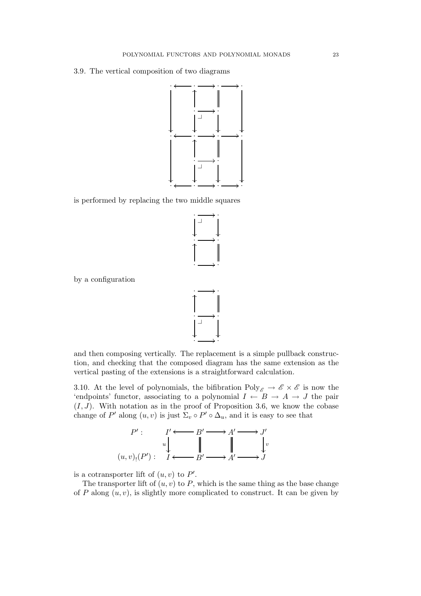3.9*.* The vertical composition of two diagrams



is performed by replacing the two middle squares



by a configuration



and then composing vertically. The replacement is a simple pullback construction, and checking that the composed diagram has the same extension as the vertical pasting of the extensions is a straightforward calculation.

3.10. At the level of polynomials, the bifibration  $Poly_{\mathscr{E}} \to \mathscr{E} \times \mathscr{E}$  is now the 'endpoints' functor, associating to a polynomial  $I \nightharpoonup B \rightarrow A \rightarrow J$  the pair  $(I, J)$ . With notation as in the proof of Proposition 3.6, we know the cobase change of P' along  $(u, v)$  is just  $\Sigma_v \circ P' \circ \Delta_u$ , and it is easy to see that



is a cotransporter lift of  $(u, v)$  to  $P'$ .

The transporter lift of  $(u, v)$  to P, which is the same thing as the base change of P along  $(u, v)$ , is slightly more complicated to construct. It can be given by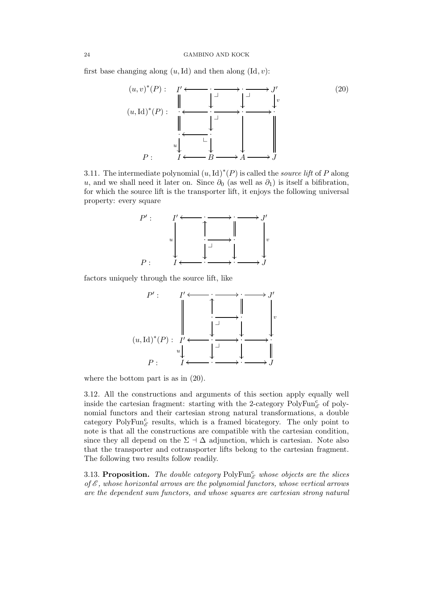first base changing along  $(u, Id)$  and then along  $(Id, v)$ :



3.11. The intermediate polynomial  $(u, Id)^*(P)$  is called the *source lift* of P along u, and we shall need it later on. Since  $\partial_0$  (as well as  $\partial_1$ ) is itself a bifibration, for which the source lift is the transporter lift, it enjoys the following universal property: every square



factors uniquely through the source lift, like



where the bottom part is as in (20).

3.12*.* All the constructions and arguments of this section apply equally well inside the cartesian fragment: starting with the 2-category  $PolyFun_{\mathscr{E}}^{\mathcal{C}}$  of polynomial functors and their cartesian strong natural transformations, a double category PolyFun $_{\mathscr{E}}^c$  results, which is a framed bicategory. The only point to note is that all the constructions are compatible with the cartesian condition, since they all depend on the  $\Sigma \dashv \Delta$  adjunction, which is cartesian. Note also that the transporter and cotransporter lifts belong to the cartesian fragment. The following two results follow readily.

3.13. Proposition. The double category  $PolyFun_{\mathscr{E}}^{\mathsf{c}}$  whose objects are the slices *of* E *, whose horizontal arrows are the polynomial functors, whose vertical arrows are the dependent sum functors, and whose squares are cartesian strong natural*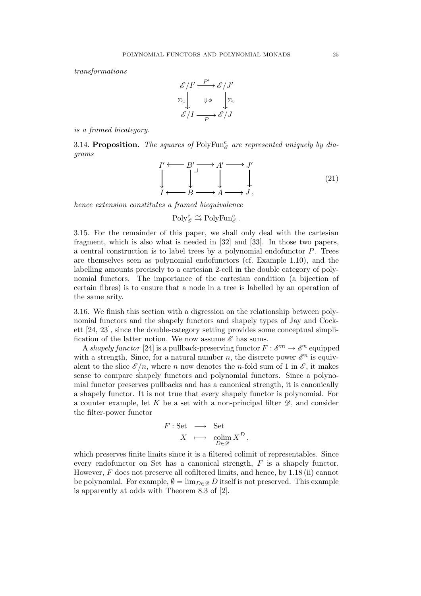*transformations*

$$
\begin{array}{c}\n\mathscr{E}/I' \xrightarrow{P'} \mathscr{E}/J' \\
\Sigma_u \downarrow \psi \downarrow \Sigma_v \\
\mathscr{E}/I \xrightarrow{P} \mathscr{E}/J\n\end{array}
$$

*is a framed bicategory.*

3.14. Proposition. The squares of  $PolyFun_{\mathscr{E}}^{\mathbb{C}}$  are represented uniquely by dia*grams*

$$
I' \longleftarrow B' \longrightarrow A' \longrightarrow J'
$$
  
\n
$$
\downarrow \qquad \qquad \downarrow \qquad \qquad \downarrow
$$
  
\n
$$
I \longleftarrow B \longrightarrow A \longrightarrow J,
$$
  
\n(21)

*hence extension constitutes a framed biequivalence*

$$
\mathrm{Poly}^c_{\mathscr{E}} \xrightarrow{\sim} \mathrm{PolyFun}^c_{\mathscr{E}}.
$$

3.15*.* For the remainder of this paper, we shall only deal with the cartesian fragment, which is also what is needed in [32] and [33]. In those two papers, a central construction is to label trees by a polynomial endofunctor P. Trees are themselves seen as polynomial endofunctors (cf. Example 1.10), and the labelling amounts precisely to a cartesian 2-cell in the double category of polynomial functors. The importance of the cartesian condition (a bijection of certain fibres) is to ensure that a node in a tree is labelled by an operation of the same arity.

3.16*.* We finish this section with a digression on the relationship between polynomial functors and the shapely functors and shapely types of Jay and Cockett [24, 23], since the double-category setting provides some conceptual simplification of the latter notion. We now assume  $\mathscr E$  has sums.

A *shapely functor* [24] is a pullback-preserving functor  $F: \mathscr{E}^m \to \mathscr{E}^n$  equipped with a strength. Since, for a natural number n, the discrete power  $\mathscr{E}^n$  is equivalent to the slice  $\mathscr{E}/n$ , where n now denotes the n-fold sum of 1 in  $\mathscr{E}$ , it makes sense to compare shapely functors and polynomial functors. Since a polynomial functor preserves pullbacks and has a canonical strength, it is canonically a shapely functor. It is not true that every shapely functor is polynomial. For a counter example, let K be a set with a non-principal filter  $\mathscr{D}$ , and consider the filter-power functor

$$
\begin{array}{rccc}\nF : \text{Set} & \longrightarrow & \text{Set} \\
X & \longmapsto & \underset{D \in \mathscr{D}}{\text{colim}} X^D \, ,\n\end{array}
$$

which preserves finite limits since it is a filtered colimit of representables. Since every endofunctor on Set has a canonical strength, F is a shapely functor. However, F does not preserve all cofiltered limits, and hence, by 1.18 (ii) cannot be polynomial. For example,  $\emptyset = \lim_{D \in \mathcal{D}} D$  itself is not preserved. This example is apparently at odds with Theorem 8.3 of [2].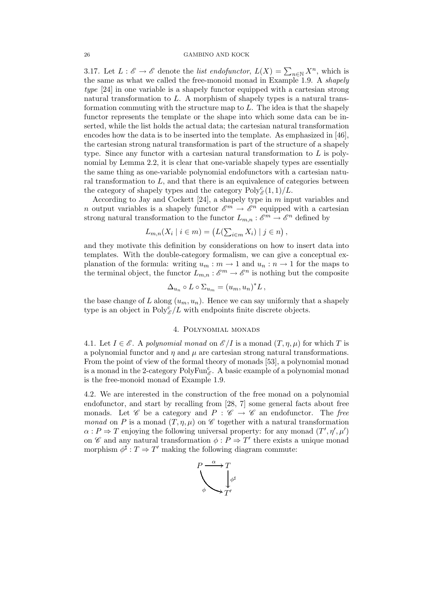3.17. Let  $L : \mathscr{E} \to \mathscr{E}$  denote the *list endofunctor*,  $L(X) = \sum_{n \in \mathbb{N}} X^n$ , which is the same as what we called the free-monoid monad in Example 1.9. A *shapely type* [24] in one variable is a shapely functor equipped with a cartesian strong natural transformation to L. A morphism of shapely types is a natural transformation commuting with the structure map to L. The idea is that the shapely functor represents the template or the shape into which some data can be inserted, while the list holds the actual data; the cartesian natural transformation encodes how the data is to be inserted into the template. As emphasized in [46], the cartesian strong natural transformation is part of the structure of a shapely type. Since any functor with a cartesian natural transformation to  $L$  is polynomial by Lemma 2.2, it is clear that one-variable shapely types are essentially the same thing as one-variable polynomial endofunctors with a cartesian natural transformation to  $L$ , and that there is an equivalence of categories between the category of shapely types and the category  $Poly_{\mathscr{E}}^{\mathcal{C}}(1,1)/L$ .

According to Jay and Cockett [24], a shapely type in m input variables and *n* output variables is a shapely functor  $\mathscr{E}^m \to \mathscr{E}^n$  equipped with a cartesian strong natural transformation to the functor  $L_{m,n}: \mathscr{E}^m \to \mathscr{E}^n$  defined by

$$
L_{m,n}(X_i \mid i \in m) = \left( L(\sum_{i \in m} X_i) \mid j \in n \right),
$$

and they motivate this definition by considerations on how to insert data into templates. With the double-category formalism, we can give a conceptual explanation of the formula: writing  $u_m : m \to 1$  and  $u_n : n \to 1$  for the maps to the terminal object, the functor  $L_{m,n}: \mathscr{E}^m \to \mathscr{E}^n$  is nothing but the composite

$$
\Delta_{u_n} \circ L \circ \Sigma_{u_m} = (u_m, u_n)^* L,
$$

the base change of L along  $(u_m, u_n)$ . Hence we can say uniformly that a shapely type is an object in  $Poly_{\mathscr{E}}^c/L$  with endpoints finite discrete objects.

## 4. Polynomial monads

4.1*.* Let  $I \in \mathscr{E}$ . A *polynomial monad* on  $\mathscr{E}/I$  is a monad  $(T, \eta, \mu)$  for which T is a polynomial functor and  $\eta$  and  $\mu$  are cartesian strong natural transformations. From the point of view of the formal theory of monads [53], a polynomial monad is a monad in the 2-category  $PolyFun^c_{\mathscr{E}}$ . A basic example of a polynomial monad is the free-monoid monad of Example 1.9.

4.2*.* We are interested in the construction of the free monad on a polynomial endofunctor, and start by recalling from [28, 7] some general facts about free monads. Let  $\mathscr C$  be a category and  $P : \mathscr C \to \mathscr C$  an endofunctor. The free *monad* on P is a monad  $(T, \eta, \mu)$  on C together with a natural transformation  $\alpha: P \Rightarrow T$  enjoying the following universal property: for any monad  $(T', \eta', \mu')$ on  $\mathscr C$  and any natural transformation  $\phi: P \to T'$  there exists a unique monad morphism  $\phi^{\sharp}: T \Rightarrow T'$  making the following diagram commute:

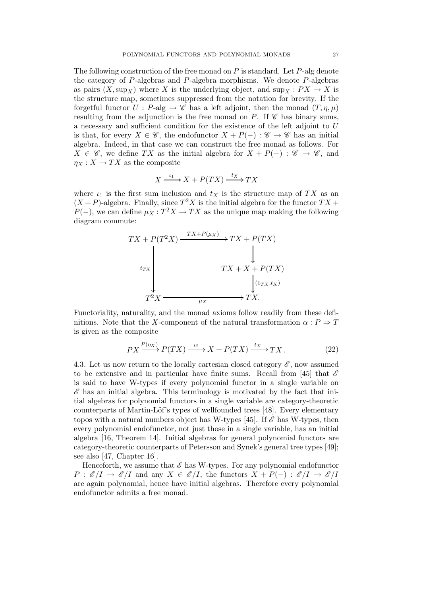The following construction of the free monad on  $P$  is standard. Let  $P$ -alg denote the category of P-algebras and P-algebra morphisms. We denote P-algebras as pairs  $(X, \sup_X)$  where X is the underlying object, and  $\sup_X : PX \to X$  is the structure map, sometimes suppressed from the notation for brevity. If the forgetful functor  $U : P$ -alg  $\rightarrow \mathscr{C}$  has a left adjoint, then the monad  $(T, \eta, \mu)$ resulting from the adjunction is the free monad on P. If  $\mathscr C$  has binary sums, a necessary and sufficient condition for the existence of the left adjoint to U is that, for every  $X \in \mathscr{C}$ , the endofunctor  $X + P(-) : \mathscr{C} \to \mathscr{C}$  has an initial algebra. Indeed, in that case we can construct the free monad as follows. For  $X \in \mathscr{C}$ , we define TX as the initial algebra for  $X + P(-) : \mathscr{C} \to \mathscr{C}$ , and  $\eta_X : X \to TX$  as the composite

$$
X \xrightarrow{t_1} X + P(TX) \xrightarrow{t_X} TX
$$

where  $\iota_1$  is the first sum inclusion and  $t_X$  is the structure map of TX as an  $(X + P)$ -algebra. Finally, since  $T^2 X$  is the initial algebra for the functor  $TX +$  $P(-)$ , we can define  $\mu_X: T^2 X \to TX$  as the unique map making the following diagram commute:



Functoriality, naturality, and the monad axioms follow readily from these definitions. Note that the X-component of the natural transformation  $\alpha : P \Rightarrow T$ is given as the composite

$$
PX \xrightarrow{P(\eta_X)} P(TX) \xrightarrow{\iota_2} X + P(TX) \xrightarrow{\iota_X} TX.
$$
 (22)

4.3. Let us now return to the locally cartesian closed category  $\mathscr{E}$ , now assumed to be extensive and in particular have finite sums. Recall from [45] that  $\mathscr E$ is said to have W-types if every polynomial functor in a single variable on  $\mathscr E$  has an initial algebra. This terminology is motivated by the fact that initial algebras for polynomial functors in a single variable are category-theoretic counterparts of Martin-Löf's types of wellfounded trees [48]. Every elementary topos with a natural numbers object has W-types [45]. If  $\mathscr E$  has W-types, then every polynomial endofunctor, not just those in a single variable, has an initial algebra [16, Theorem 14]. Initial algebras for general polynomial functors are category-theoretic counterparts of Petersson and Synek's general tree types [49]; see also [47, Chapter 16].

Henceforth, we assume that  $\mathscr E$  has W-types. For any polynomial endofunctor  $P: \mathscr{E}/I \to \mathscr{E}/I$  and any  $X \in \mathscr{E}/I$ , the functors  $X + P(-): \mathscr{E}/I \to \mathscr{E}/I$ are again polynomial, hence have initial algebras. Therefore every polynomial endofunctor admits a free monad.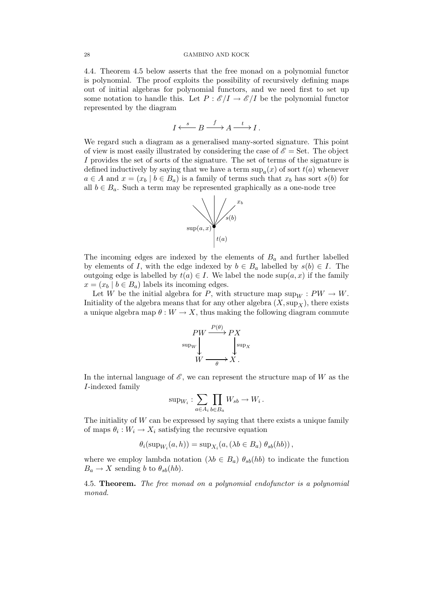4.4*.* Theorem 4.5 below asserts that the free monad on a polynomial functor is polynomial. The proof exploits the possibility of recursively defining maps out of initial algebras for polynomial functors, and we need first to set up some notation to handle this. Let  $P : \mathscr{E}/I \to \mathscr{E}/I$  be the polynomial functor represented by the diagram

$$
I \xleftarrow{s} B \xrightarrow{f} A \xrightarrow{t} I.
$$

We regard such a diagram as a generalised many-sorted signature. This point of view is most easily illustrated by considering the case of  $\mathscr{E} =$  Set. The object I provides the set of sorts of the signature. The set of terms of the signature is defined inductively by saying that we have a term  $\sup_a(x)$  of sort  $t(a)$  whenever  $a \in A$  and  $x = (x_b \mid b \in B_a)$  is a family of terms such that  $x_b$  has sort  $s(b)$  for all  $b \in B_a$ . Such a term may be represented graphically as a one-node tree



The incoming edges are indexed by the elements of  $B<sub>a</sub>$  and further labelled by elements of I, with the edge indexed by  $b \in B_a$  labelled by  $s(b) \in I$ . The outgoing edge is labelled by  $t(a) \in I$ . We label the node sup $(a, x)$  if the family  $x = (x_b \mid b \in B_a)$  labels its incoming edges.

Let W be the initial algebra for P, with structure map  $\sup_W : PW \to W$ . Initiality of the algebra means that for any other algebra  $(X, \sup_X)$ , there exists a unique algebra map  $\theta : W \to X$ , thus making the following diagram commute

$$
PW \xrightarrow{P(\theta)} PX
$$
  
\n
$$
SW \xrightarrow{\text{sup}_W} Y
$$
  
\n
$$
W \xrightarrow{\text{sup}_X} X.
$$

In the internal language of  $\mathscr E$ , we can represent the structure map of W as the I-indexed family

$$
\sup_{W_i} : \sum_{a \in A_i} \prod_{b \in B_a} W_{sb} \to W_i \, .
$$

The initiality of  $W$  can be expressed by saying that there exists a unique family of maps  $\theta_i: W_i \to X_i$  satisfying the recursive equation

 $\theta_i(\sup_{W_i}(a, h)) = \sup_{X_i}(a, (\lambda b \in B_a) \theta_{sb}(hb)),$ 

where we employ lambda notation  $(\lambda b \in B_a)$   $\theta_{sb}(hb)$  to indicate the function  $B_a \to X$  sending b to  $\theta_{sb}(hb)$ .

4.5. Theorem. *The free monad on a polynomial endofunctor is a polynomial monad.*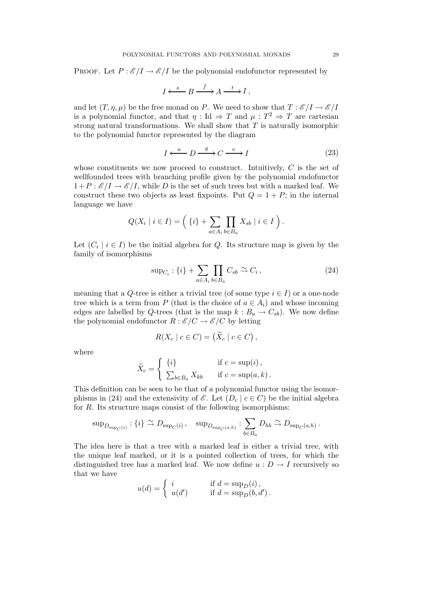PROOF. Let  $P : \mathscr{E}/I \to \mathscr{E}/I$  be the polynomial endofunctor represented by

$$
I \xleftarrow{s} B \xrightarrow{f} A \xrightarrow{t} I,
$$

and let  $(T, \eta, \mu)$  be the free monad on P. We need to show that  $T : \mathscr{E}/I \to \mathscr{E}/I$ is a polynomial functor, and that  $\eta$ : Id  $\Rightarrow$  T and  $\mu$ :  $T^2 \Rightarrow$  T are cartesian strong natural transformations. We shall show that  $T$  is naturally isomorphic to the polynomial functor represented by the diagram

$$
I \xleftarrow{u} D \xrightarrow{g} C \xrightarrow{v} I \tag{23}
$$

whose constituents we now proceed to construct. Intuitively,  $C$  is the set of wellfounded trees with branching profile given by the polynomial endofunctor  $1+P:\mathscr{E}/I\to\mathscr{E}/I$ , while D is the set of such trees but with a marked leaf. We construct these two objects as least fixpoints. Put  $Q = 1 + P$ ; in the internal language we have

$$
Q(X_i \mid i \in I) = \left( \{i\} + \sum_{a \in A_i} \prod_{b \in B_a} X_{sb} \mid i \in I \right).
$$

Let  $(C_i \mid i \in I)$  be the initial algebra for Q. Its structure map is given by the family of isomorphisms

$$
\sup_{C_i} : \{i\} + \sum_{a \in A_i} \prod_{b \in B_a} C_{sb} \xrightarrow{\sim} C_i , \tag{24}
$$

meaning that a Q-tree is either a trivial tree (of some type  $i \in I$ ) or a one-node tree which is a term from P (that is the choice of  $a \in A_i$ ) and whose incoming edges are labelled by Q-trees (that is the map  $k : B_a \to C_{sb}$ ). We now define the polynomial endofunctor  $R : \mathscr{E}/C \to \mathscr{E}/C$  by letting

$$
R(X_c \mid c \in C) = (\widetilde{X}_c \mid c \in C),
$$

where

$$
\widetilde{X}_c = \begin{cases}\n\{i\} & \text{if } c = \sup(i), \\
\sum_{b \in B_a} X_{kb} & \text{if } c = \sup(a, k).\n\end{cases}
$$

This definition can be seen to be that of a polynomial functor using the isomorphisms in (24) and the extensivity of  $\mathscr{E}$ . Let  $(D_c | c \in C)$  be the initial algebra for R. Its structure maps consist of the following isomorphisms:

$$
\text{sup}_{D_{\text{sup}_C}(i)}: \{i\} \xrightarrow{\sim} D_{\text{sup}_C(i)}, \quad \text{sup}_{D_{\text{sup}_C}(a,h)}: \sum_{b \in B_a} D_{hb} \xrightarrow{\sim} D_{\text{sup}_C(a,h)}.
$$

The idea here is that a tree with a marked leaf is either a trivial tree, with the unique leaf marked, or it is a pointed collection of trees, for which the distinguished tree has a marked leaf. We now define  $u : D \to I$  recursively so that we have

$$
u(d) = \begin{cases} i & \text{if } d = \sup_D(i), \\ u(d') & \text{if } d = \sup_D(b, d'). \end{cases}
$$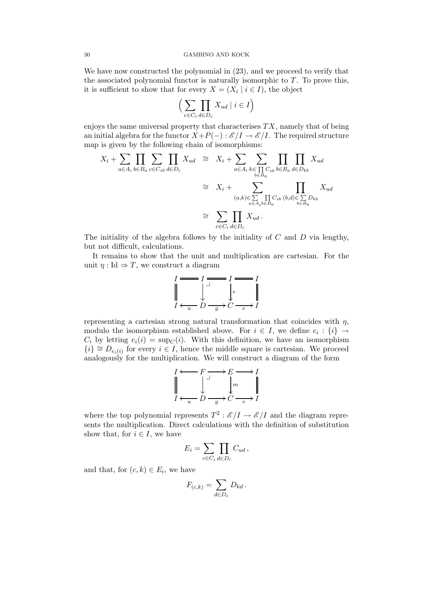We have now constructed the polynomial in  $(23)$ , and we proceed to verify that the associated polynomial functor is naturally isomorphic to  $T$ . To prove this, it is sufficient to show that for every  $X = (X_i \mid i \in I)$ , the object

$$
\Big(\sum_{c \in C_i} \prod_{d \in D_c} X_{ud} \mid i \in I\Big)
$$

enjoys the same universal property that characterises  $TX$ , namely that of being an initial algebra for the functor  $X+P(-): \mathscr{E}/I \to \mathscr{E}/I$ . The required structure map is given by the following chain of isomorphisms:

$$
X_i + \sum_{a \in A_i} \prod_{b \in B_a} \sum_{c \in C_{sb}} \prod_{d \in D_c} X_{ud} \cong X_i + \sum_{a \in A_i} \sum_{\substack{k \in \prod_{c \in B_a} C_{sb} \\ b \in B_a}} \prod_{d \in D_{kb}} \prod_{d \in D_{kb}} X_{ud}
$$
  

$$
\cong X_i + \sum_{\substack{(a,k) \in \sum_{a \in A_i b \in B_a}} \prod_{d \in B_a} C_{sb} (b,d) \in \sum_{b \in B_a} D_{kb}}
$$
  

$$
\cong \sum_{c \in C_i} \prod_{d \in D_c} X_{ud}.
$$

The initiality of the algebra follows by the initiality of  $C$  and  $D$  via lengthy, but not difficult, calculations.

It remains to show that the unit and multiplication are cartesian. For the unit  $\eta$ : Id  $\Rightarrow$  T, we construct a diagram

$$
I \longrightarrow I \longrightarrow I \longrightarrow I
$$
  

$$
\downarrow \qquad \qquad I \longleftarrow I \longrightarrow I
$$
  

$$
I \longleftarrow u \qquad D \longrightarrow C \longrightarrow I
$$

representing a cartesian strong natural transformation that coincides with  $\eta$ , modulo the isomorphism established above. For  $i \in I$ , we define  $e_i : \{i\} \rightarrow$  $C_i$  by letting  $e_i(i) = \sup_C(i)$ . With this definition, we have an isomorphism  ${i}$  ≅  $D_{e_i(i)}$  for every  $i \in I$ , hence the middle square is cartesian. We proceed analogously for the multiplication. We will construct a diagram of the form

$$
I \longleftarrow F \longrightarrow E \longrightarrow I
$$
  

$$
\downarrow \qquad \qquad \downarrow \qquad \qquad \downarrow m \qquad \qquad \parallel
$$
  

$$
I \longleftarrow u \qquad D \qquad g \rightarrow C \qquad \qquad v \rightarrow I
$$

where the top polynomial represents  $T^2$ :  $\mathscr{E}/I \to \mathscr{E}/I$  and the diagram represents the multiplication. Direct calculations with the definition of substitution show that, for  $i \in I$ , we have

$$
E_i = \sum_{c \in C_i} \prod_{d \in D_c} C_{ud},
$$

and that, for  $(c, k) \in E_i$ , we have

$$
F_{(c,k)} = \sum_{d \in D_c} D_{kd}.
$$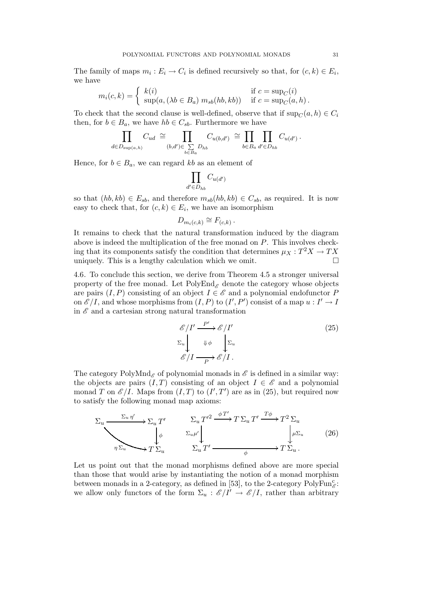The family of maps  $m_i : E_i \to C_i$  is defined recursively so that, for  $(c, k) \in E_i$ , we have

$$
m_i(c,k) = \begin{cases} k(i) & \text{if } c = \sup_C(i) \\ \sup(a, (\lambda b \in B_a) \ m_{sb}(hb, kb)) & \text{if } c = \sup_C(a, h) \end{cases}
$$

To check that the second clause is well-defined, observe that if  $\sup_C(a, h) \in C_i$ then, for  $b \in B_a$ , we have  $hb \in C_{sb}$ . Furthermore we have

$$
\prod_{d\in D_{{\rm sup}(a,h)}}C_{ud}\;\cong\prod_{(b,d')\in\sum\limits_{b\in B_a}D_{hb}}C_{u(b,d')}\;\cong\prod_{b\in B_a}\prod_{d'\in D_{hb}}C_{u(d')}\,.
$$

Hence, for  $b \in B_a$ , we can regard kb as an element of

$$
\prod_{d' \in D_{hb}} C_{u(d')}
$$

so that  $(hb, kb) \in E_{sb}$ , and therefore  $m_{sb}(hb, kb) \in C_{sb}$ , as required. It is now easy to check that, for  $(c, k) \in E_i$ , we have an isomorphism

$$
D_{m_i(c,k)} \cong F_{(c,k)}.
$$

It remains to check that the natural transformation induced by the diagram above is indeed the multiplication of the free monad on  $P$ . This involves checking that its components satisfy the condition that determines  $\mu_X: T^2 X \to TX$ uniquely. This is a lengthy calculation which we omit.  $\Box$ 

4.6*.* To conclude this section, we derive from Theorem 4.5 a stronger universal property of the free monad. Let  $PolyEnd_{\mathscr{E}}$  denote the category whose objects are pairs  $(I, P)$  consisting of an object  $I \in \mathscr{E}$  and a polynomial endofunctor P on  $\mathscr{E}/I$ , and whose morphisms from  $(I, P)$  to  $(I', P')$  consist of a map  $u : I' \to I$ in  $\mathscr E$  and a cartesian strong natural transformation

$$
\mathcal{E}/I' \xrightarrow{P'} \mathcal{E}/I'
$$
\n
$$
\Sigma_u \downarrow \qquad \qquad \downarrow \phi \qquad \qquad \sum_u
$$
\n
$$
\mathcal{E}/I \xrightarrow{P} \mathcal{E}/I.
$$
\n(25)

The category PolyMnd<sub>&</sub> of polynomial monads in  $\mathscr E$  is defined in a similar way: the objects are pairs  $(I, T)$  consisting of an object  $I \in \mathscr{E}$  and a polynomial monad T on  $\mathscr{E}/I$ . Maps from  $(I, T)$  to  $(I', T')$  are as in (25), but required now to satisfy the following monad map axioms:

$$
\sum_{u} \frac{\Sigma_{u} \eta'}{\sqrt{\sum_{u} \Sigma_{u}}} \sum_{u} T' \frac{\Sigma_{u} T'^{2} \xrightarrow{\phi T'} T \Sigma_{u} T' \xrightarrow{T\phi} T^{2} \Sigma_{u}}{\Sigma_{u} \mu' \downarrow} \qquad (\text{26})
$$
\n
$$
\sum_{\eta \Sigma_{u}} \sum_{u} T' \xrightarrow{\sum_{u} T' \xrightarrow{\phi T' \longrightarrow T \Sigma_{u}}} T \Sigma_{u}.
$$

Let us point out that the monad morphisms defined above are more special than those that would arise by instantiating the notion of a monad morphism between monads in a 2-category, as defined in [53], to the 2-category  $PolyFun_{\mathscr{E}}^{\mathcal{C}}$ : we allow only functors of the form  $\Sigma_u : \mathcal{E}/I' \to \mathcal{E}/I$ , rather than arbitrary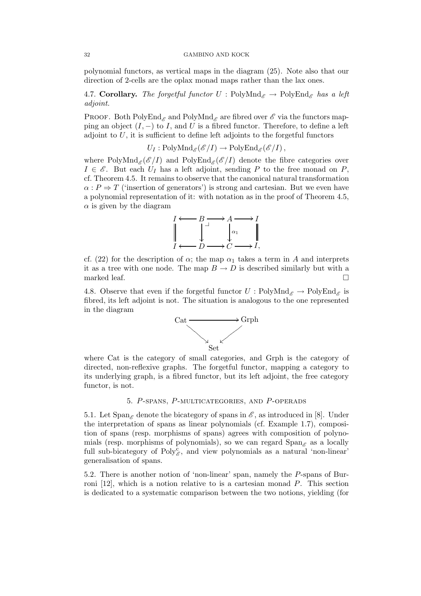#### 32 GAMBINO AND KOCK

polynomial functors, as vertical maps in the diagram (25). Note also that our direction of 2-cells are the oplax monad maps rather than the lax ones.

4.7. **Corollary.** *The forgetful functor*  $U : \text{PolyMnd}_{\mathscr{E}} \to \text{PolyEnd}_{\mathscr{E}}$  *has a left adjoint.*

**PROOF.** Both PolyEnd<sub> $\mathscr E$ </sub> and PolyMnd<sub> $\mathscr E$ </sub> are fibred over  $\mathscr E$  via the functors mapping an object  $(I, -)$  to I, and U is a fibred functor. Therefore, to define a left adjoint to  $U$ , it is sufficient to define left adjoints to the forgetful functors

$$
U_I: \mathrm{PolyMnd}_{\mathscr{E}}(\mathscr{E}/I) \to \mathrm{PolyEnd}_{\mathscr{E}}(\mathscr{E}/I),
$$

where  $PolyMnd_{\mathscr{E}}(\mathscr{E}/I)$  and  $PolyEnd_{\mathscr{E}}(\mathscr{E}/I)$  denote the fibre categories over  $I \in \mathscr{E}$ . But each  $U_I$  has a left adjoint, sending P to the free monad on P, cf. Theorem 4.5. It remains to observe that the canonical natural transformation  $\alpha$ :  $P \Rightarrow T$  ('insertion of generators') is strong and cartesian. But we even have a polynomial representation of it: with notation as in the proof of Theorem 4.5,  $\alpha$  is given by the diagram



cf. (22) for the description of  $\alpha$ ; the map  $\alpha_1$  takes a term in A and interprets it as a tree with one node. The map  $B \to D$  is described similarly but with a marked leaf.

4.8. Observe that even if the forgetful functor  $U : \text{PolyMnd}_{\mathscr{E}} \to \text{PolyEnd}_{\mathscr{E}}$  is fibred, its left adjoint is not. The situation is analogous to the one represented in the diagram



where Cat is the category of small categories, and Grph is the category of directed, non-reflexive graphs. The forgetful functor, mapping a category to its underlying graph, is a fibred functor, but its left adjoint, the free category functor, is not.

## 5. P-spans, P-multicategories, and P-operads

5.1. Let  $\text{Span}_{\mathscr{E}}$  denote the bicategory of spans in  $\mathscr{E}$ , as introduced in [8]. Under the interpretation of spans as linear polynomials (cf. Example 1.7), composition of spans (resp. morphisms of spans) agrees with composition of polynomials (resp. morphisms of polynomials), so we can regard  $\text{Span}_{\mathscr{E}}$  as a locally full sub-bicategory of  $Poly_{\mathscr{E}}^c$ , and view polynomials as a natural 'non-linear' generalisation of spans.

5.2*.* There is another notion of 'non-linear' span, namely the P-spans of Burroni [12], which is a notion relative to is a cartesian monad P. This section is dedicated to a systematic comparison between the two notions, yielding (for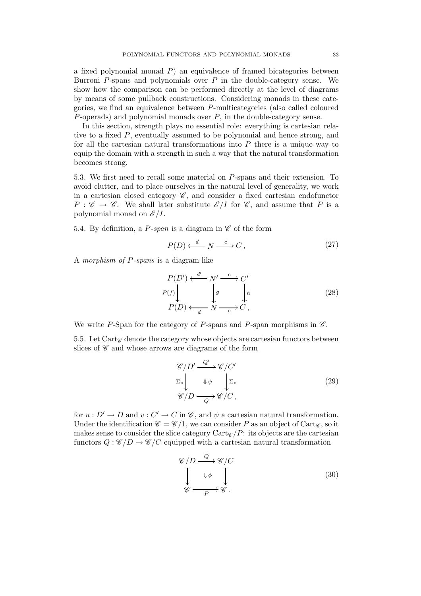a fixed polynomial monad  $P$ ) an equivalence of framed bicategories between Burroni  $P$ -spans and polynomials over  $P$  in the double-category sense. We show how the comparison can be performed directly at the level of diagrams by means of some pullback constructions. Considering monads in these categories, we find an equivalence between P-multicategories (also called coloured P-operads) and polynomial monads over P, in the double-category sense.

In this section, strength plays no essential role: everything is cartesian relative to a fixed P, eventually assumed to be polynomial and hence strong, and for all the cartesian natural transformations into P there is a unique way to equip the domain with a strength in such a way that the natural transformation becomes strong.

5.3*.* We first need to recall some material on P-spans and their extension. To avoid clutter, and to place ourselves in the natural level of generality, we work in a cartesian closed category  $\mathscr{C}$ , and consider a fixed cartesian endofunctor  $P: \mathscr{C} \to \mathscr{C}$ . We shall later substitute  $\mathscr{E}/I$  for  $\mathscr{C}$ , and assume that P is a polynomial monad on  $\mathscr{E}/I$ .

5.4. By definition, a  $P$ -span is a diagram in  $\mathscr C$  of the form

$$
P(D) \xleftarrow{d} N \xrightarrow{c} C \,, \tag{27}
$$

A *morphism of* P*-spans* is a diagram like

$$
P(D') \xleftarrow{d'} N' \xrightarrow{c} C'
$$
  
\n
$$
P(f) \downarrow \qquad \qquad \downarrow g \qquad \qquad \downarrow h
$$
  
\n
$$
P(D) \xleftarrow{d} N \xrightarrow{c} C,
$$
  
\n(28)

We write P-Span for the category of P-spans and P-span morphisms in  $\mathscr{C}$ .

5.5. Let Cart $\epsilon$  denote the category whose objects are cartesian functors between slices of  $\mathscr C$  and whose arrows are diagrams of the form

$$
\mathcal{C}/D' \xrightarrow{Q'} \mathcal{C}/C'
$$
  
\n
$$
\Sigma_u \downarrow \qquad \psi \downarrow \Sigma_v
$$
  
\n
$$
\mathcal{C}/D \xrightarrow{Q} \mathcal{C}/C,
$$
\n(29)

for  $u : D' \to D$  and  $v : C' \to C$  in  $\mathscr{C}$ , and  $\psi$  a cartesian natural transformation. Under the identification  $\mathscr{C} = \mathscr{C}/1$ , we can consider P as an object of Cart $\mathscr{C}$ , so it makes sense to consider the slice category  $Cart_{\mathscr{C}}/P$ : its objects are the cartesian functors  $Q : \mathscr{C}/D \to \mathscr{C}/C$  equipped with a cartesian natural transformation

$$
\mathcal{C}/D \xrightarrow{Q} \mathcal{C}/C
$$
  
\n
$$
\downarrow^{\psi} \downarrow^{\psi}
$$
  
\n
$$
\mathcal{C} \xrightarrow{p} \mathcal{C}.
$$
  
\n(30)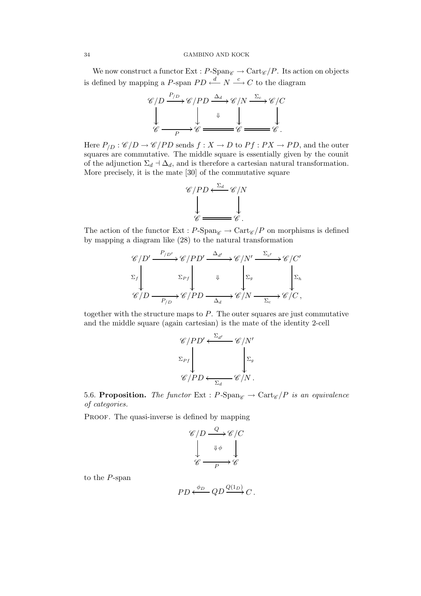### 34 GAMBINO AND KOCK

We now construct a functor Ext :  $P\text{-Span}_{\mathscr{C}} \to \text{Cart}_{\mathscr{C}}/P$ . Its action on objects is defined by mapping a P-span  $PD \stackrel{d}{\longleftarrow} N \stackrel{c}{\longrightarrow} C$  to the diagram

$$
\mathscr{C}/D \xrightarrow{P_{/D}} \mathscr{C}/PD \xrightarrow{\Delta_d} \mathscr{C}/N \xrightarrow{\Sigma_c} \mathscr{C}/C
$$
  

$$
\downarrow \qquad \qquad \downarrow \qquad \downarrow \qquad \downarrow \qquad \downarrow
$$
  

$$
\mathscr{C} \xrightarrow{\qquad \qquad P} \mathscr{C} \xrightarrow{\qquad \qquad \downarrow} \mathscr{C} \xrightarrow{\qquad \qquad \downarrow} \mathscr{C}.
$$

Here  $P_{/D}$ :  $\mathscr{C}/D \rightarrow \mathscr{C}/PD$  sends  $f: X \rightarrow D$  to  $Pf: PX \rightarrow PD$ , and the outer squares are commutative. The middle square is essentially given by the counit of the adjunction  $\Sigma_d \dashv \Delta_d$ , and is therefore a cartesian natural transformation. More precisely, it is the mate [30] of the commutative square



The action of the functor Ext :  $P\text{-Span}_{\mathscr{C}} \to \text{Cart}_{\mathscr{C}}/P$  on morphisms is defined by mapping a diagram like (28) to the natural transformation

$$
\mathcal{C}/D' \xrightarrow{P_{/D'}} \mathcal{C}/PD' \xrightarrow{\Delta_{d'}} \mathcal{C}/N' \xrightarrow{\Sigma_{c'}} \mathcal{C}/C'
$$
  

$$
\Sigma_f \downarrow \qquad \qquad \downarrow \qquad \qquad \Sigma_g \qquad \qquad \downarrow \Sigma_h
$$
  

$$
\mathcal{C}/D \xrightarrow{\Gamma_{/D}} \mathcal{C}/PD \xrightarrow{\Delta_d} \mathcal{C}/N \xrightarrow{\Sigma_c} \mathcal{C}/C,
$$

together with the structure maps to  $P$ . The outer squares are just commutative and the middle square (again cartesian) is the mate of the identity 2-cell

$$
\mathscr{C}/PD' \xleftarrow{\Sigma_{d'}} \mathscr{C}/N'
$$
  

$$
\Sigma_{Pf} \downarrow \qquad \qquad \sum_{\Sigma_g} \Sigma_g
$$
  

$$
\mathscr{C}/PD \xleftarrow{\Sigma_d} \mathscr{C}/N.
$$

5.6. **Proposition.** *The functor* Ext :  $P$ -Span $\mathscr{C} \to \text{Cart}_{\mathscr{C}} / P$  *is an equivalence of categories.*

PROOF. The quasi-inverse is defined by mapping

$$
\begin{array}{ccc}\n\mathscr{C}/D & \xrightarrow{Q} & \mathscr{C}/C \\
\downarrow & & \downarrow \phi & \downarrow \\
\mathscr{C} & \xrightarrow{\mathbb{P}} & \mathscr{C}\n\end{array}
$$

to the P-span

$$
PD \xleftarrow{\phi_D} QD \xrightarrow{Q(1_D)} C.
$$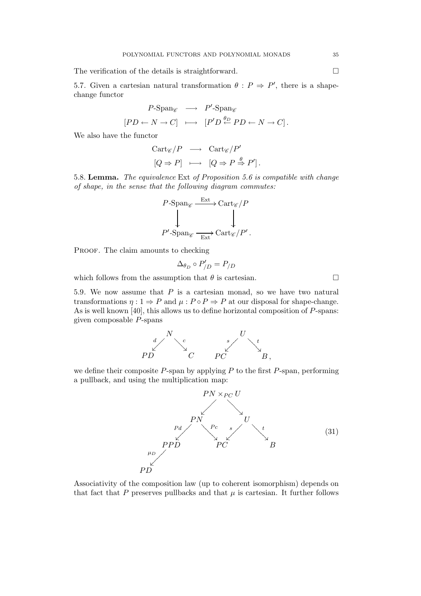The verification of the details is straightforward.  $\Box$ 

5.7. Given a cartesian natural transformation  $\theta : P \Rightarrow P'$ , there is a shapechange functor

$$
P\text{-Span}_{\mathscr{C}} \longrightarrow P'\text{-Span}_{\mathscr{C}}
$$

$$
[PD \leftarrow N \rightarrow C] \longmapsto [P'D \stackrel{\theta_D}{\leftarrow} PD \leftarrow N \rightarrow C].
$$

We also have the functor

$$
Cart_{\mathscr{C}}/P \longrightarrow Cart_{\mathscr{C}}/P'
$$
  

$$
[Q \Rightarrow P] \longmapsto [Q \Rightarrow P \stackrel{\theta}{\Rightarrow} P'].
$$

5.8. Lemma. *The equivalence* Ext *of Proposition 5.6 is compatible with change of shape, in the sense that the following diagram commutes:*

$$
P\text{-Span}_{\mathscr{C}} \xrightarrow{\text{Ext}} \text{Cart}_{\mathscr{C}}/P
$$

$$
P'\text{-Span}_{\mathscr{C}} \xrightarrow[\text{Ext}]{\text{Ext}_{\mathscr{C}}/P'}.
$$

PROOF. The claim amounts to checking

$$
\Delta_{\theta_D} \circ P'_{/D} = P_{/D}
$$

which follows from the assumption that  $\theta$  is cartesian.

5.9*.* We now assume that P is a cartesian monad, so we have two natural transformations  $\eta: 1 \Rightarrow P$  and  $\mu: P \circ P \Rightarrow P$  at our disposal for shape-change. As is well known [40], this allows us to define horizontal composition of P-spans: given composable P-spans



we define their composite  $P$ -span by applying  $P$  to the first  $P$ -span, performing a pullback, and using the multiplication map:



Associativity of the composition law (up to coherent isomorphism) depends on that fact that P preserves pullbacks and that  $\mu$  is cartesian. It further follows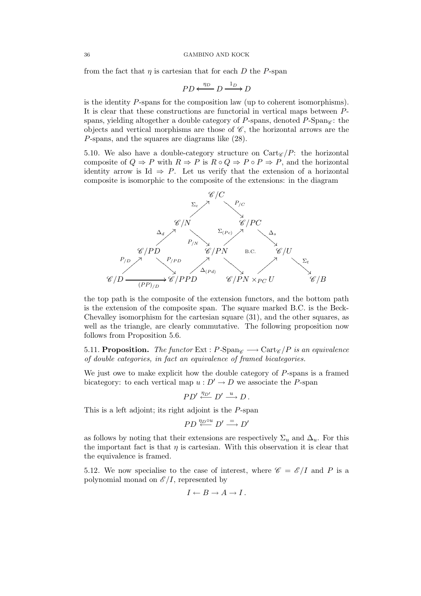from the fact that  $\eta$  is cartesian that for each D the P-span

$$
PD \xleftarrow{\eta_D} D \xrightarrow{1_D} D
$$

is the identity  $P$ -spans for the composition law (up to coherent isomorphisms). It is clear that these constructions are functorial in vertical maps between Pspans, yielding altogether a double category of P-spans, denoted  $P\text{-Span}_{\mathscr{C}}$ : the objects and vertical morphisms are those of  $\mathscr{C}$ , the horizontal arrows are the P-spans, and the squares are diagrams like (28).

5.10. We also have a double-category structure on  $Cart_{\mathscr{C}}/P$ : the horizontal composite of  $Q \Rightarrow P$  with  $R \Rightarrow P$  is  $R \circ Q \Rightarrow P \circ P \Rightarrow P$ , and the horizontal identity arrow is Id  $\Rightarrow$  P. Let us verify that the extension of a horizontal composite is isomorphic to the composite of the extensions: in the diagram



the top path is the composite of the extension functors, and the bottom path is the extension of the composite span. The square marked B.C. is the Beck-Chevalley isomorphism for the cartesian square (31), and the other squares, as well as the triangle, are clearly commutative. The following proposition now follows from Proposition 5.6.

5.11. **Proposition.** *The functor* Ext :  $P$ -Span $\mathscr{C} \longrightarrow$  Cart $\mathscr{C}/P$  *is an equivalence of double categories, in fact an equivalence of framed bicategories.*

We just owe to make explicit how the double category of  $P$ -spans is a framed bicategory: to each vertical map  $u : D' \to D$  we associate the P-span

 $PD' \stackrel{\eta_{D'}}{\longleftarrow} D' \stackrel{u}{\longrightarrow} D$ .

This is a left adjoint; its right adjoint is the P-span

$$
PD \stackrel{\eta_D \circ u}{\longleftarrow} D' \stackrel{=}{\longrightarrow} D'
$$

as follows by noting that their extensions are respectively  $\Sigma_u$  and  $\Delta_u$ . For this the important fact is that  $\eta$  is cartesian. With this observation it is clear that the equivalence is framed.

5.12. We now specialise to the case of interest, where  $\mathscr{C} = \mathscr{E}/I$  and P is a polynomial monad on  $\mathscr{E}/I$ , represented by

$$
I \leftarrow B \rightarrow A \rightarrow I.
$$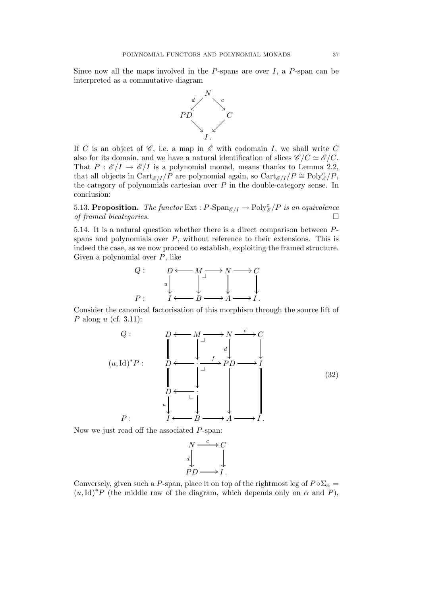Since now all the maps involved in the  $P$ -spans are over  $I$ , a  $P$ -span can be interpreted as a commutative diagram



If C is an object of  $\mathscr{C}$ , i.e. a map in  $\mathscr{E}$  with codomain I, we shall write C also for its domain, and we have a natural identification of slices  $\mathscr{C}/C \simeq \mathscr{E}/C$ . That  $P : \mathcal{E}/I \to \mathcal{E}/I$  is a polynomial monad, means thanks to Lemma 2.2, that all objects in  $\text{Cart}_{\mathscr{E}/I}/P$  are polynomial again, so  $\text{Cart}_{\mathscr{E}/I}/P \cong \text{Poly}_{\mathscr{E}}^c/P$ , the category of polynomials cartesian over  $P$  in the double-category sense. In conclusion:

5.13. **Proposition.** The functor  $\text{Ext}: P\text{-}\text{Span}_{\mathscr{E}/I} \to \text{Poly}_{\mathscr{E}}^c/P$  is an equivalence *of framed bicategories.*

5.14*.* It is a natural question whether there is a direct comparison between Pspans and polynomials over  $P$ , without reference to their extensions. This is indeed the case, as we now proceed to establish, exploiting the framed structure. Given a polynomial over P, like



Consider the canonical factorisation of this morphism through the source lift of P along u (cf. 3.11):

$$
Q: \t D \longleftarrow M \longrightarrow N \xrightarrow{c} C
$$
  
\n
$$
(u, \text{Id})^* P: \t D \longleftarrow \begin{bmatrix} 1 & d & d & d \\ 0 & d & d & d \\ 0 & 0 & 0 & 0 \\ 0 & 0 & 0 & 0 \\ 0 & 0 & 0 & 0 \\ 0 & 0 & 0 & 0 \\ 0 & 0 & 0 & 0 \\ 0 & 0 & 0 & 0 \\ 0 & 0 & 0 & 0 \\ 0 & 0 & 0 & 0 \\ 0 & 0 & 0 & 0 \\ 0 & 0 & 0 & 0 \\ 0 & 0 & 0 & 0 \\ 0 & 0 & 0 & 0 \\ 0 & 0 & 0 & 0 \\ 0 & 0 & 0 & 0 \\ 0 & 0 & 0 & 0 \\ 0 & 0 & 0 & 0 \\ 0 & 0 & 0 & 0 \\ 0 & 0 & 0 & 0 \\ 0 & 0 & 0 & 0 \\ 0 & 0 & 0 & 0 \\ 0 & 0 & 0 & 0 \\ 0 & 0 & 0 & 0 \\ 0 & 0 & 0 & 0 \\ 0 & 0 & 0 & 0 \\ 0 & 0 & 0 & 0 \\ 0 & 0 & 0 & 0 \\ 0 & 0 & 0 & 0 \\ 0 & 0 & 0 & 0 \\ 0 & 0 & 0 & 0 \\ 0 & 0 & 0 & 0 \\ 0 & 0 & 0 & 0 \\ 0 & 0 & 0 & 0 \\ 0 & 0 & 0 & 0 \\ 0 & 0 & 0 & 0 \\ 0 & 0 & 0 & 0 \\ 0 & 0 & 0 & 0 \\ 0 & 0 & 0 & 0 \\ 0 & 0 & 0 & 0 \\ 0 & 0 & 0 & 0 \\ 0 & 0 & 0 & 0 \\ 0 & 0 & 0 & 0 \\ 0 & 0 & 0 & 0 \\ 0 & 0 & 0 & 0 \\ 0 & 0 & 0 & 0 \\ 0 & 0 & 0 & 0 \\ 0 & 0 & 0 & 0 \\ 0 & 0 & 0 & 0 \\ 0 & 0 & 0 & 0 \\ 0 & 0 & 0 & 0 \\ 0 & 0 & 0 & 0 \\ 0 & 0 & 0 & 0 \\ 0 & 0 & 0 & 0 \\ 0 & 0 & 0 & 0 \\ 0 & 0 & 0 & 0 \\ 0 & 0 & 0 & 0 \\ 0 & 0 & 0 & 0 \\ 0 & 0 & 0 & 0 \\
$$

Now we just read off the associated P-span:



Conversely, given such a P-span, place it on top of the rightmost leg of  $P \circ \Sigma_{\alpha} =$  $(u,Id)^*P$  (the middle row of the diagram, which depends only on  $\alpha$  and P),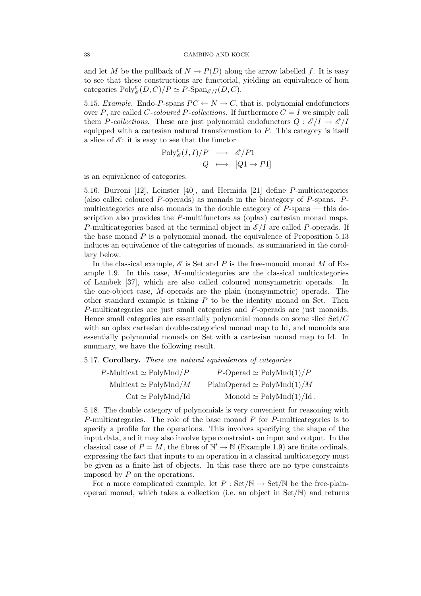and let M be the pullback of  $N \to P(D)$  along the arrow labelled f. It is easy to see that these constructions are functorial, yielding an equivalence of hom categories  $Poly_{\mathscr{E}}^c(D, C)/P \simeq P\text{-}\mathrm{Span}_{\mathscr{E}/I}(D, C).$ 

5.15. *Example.* Endo-P-spans  $PC \leftarrow N \rightarrow C$ , that is, polynomial endofunctors over P, are called C-coloured P-collections. If furthermore  $C = I$  we simply call them P-collections. These are just polynomial endofunctors  $Q : \mathscr{E}/I \to \mathscr{E}/I$ equipped with a cartesian natural transformation to  $P$ . This category is itself a slice of  $\mathscr{E}$ : it is easy to see that the functor

$$
\text{Poly}_{\mathscr{E}}^c(I, I)/P \longrightarrow \mathscr{E}/P1
$$
  

$$
Q \longmapsto [Q1 \rightarrow P1]
$$

is an equivalence of categories.

5.16*.* Burroni [12], Leinster [40], and Hermida [21] define P-multicategories (also called coloured P-operads) as monads in the bicategory of P-spans. Pmulticategories are also monads in the double category of P-spans — this description also provides the P-multifunctors as (oplax) cartesian monad maps. P-multicategories based at the terminal object in  $\mathscr{E}/I$  are called P-operads. If the base monad  $P$  is a polynomial monad, the equivalence of Proposition 5.13 induces an equivalence of the categories of monads, as summarised in the corollary below.

In the classical example,  $\mathscr E$  is Set and P is the free-monoid monad M of Example 1.9. In this case,  $M$ -multicategories are the classical multicategories of Lambek [37], which are also called coloured nonsymmetric operads. In the one-object case, M-operads are the plain (nonsymmetric) operads. The other standard example is taking  $P$  to be the identity monad on Set. Then P-multicategories are just small categories and P-operads are just monoids. Hence small categories are essentially polynomial monads on some slice Set/C with an oplax cartesian double-categorical monad map to Id, and monoids are essentially polynomial monads on Set with a cartesian monad map to Id. In summary, we have the following result.

## 5.17. Corollary. *There are natural equivalences of categories*

| $P\text{-Multicat} \simeq \text{PolyMnd}/P$ | $P$ -Operad $\simeq$ PolyMnd $(1)/P$ |
|---------------------------------------------|--------------------------------------|
| Multicat $\simeq$ PolyMnd/M                 | $PlainOperad \simeq PolyMnd(1)/M$    |
| $Cat \simeq PolyMnd/Id$                     | Monoid $\simeq$ PolyMnd(1)/Id.       |

5.18*.* The double category of polynomials is very convenient for reasoning with P-multicategories. The role of the base monad  $P$  for P-multicategories is to specify a profile for the operations. This involves specifying the shape of the input data, and it may also involve type constraints on input and output. In the classical case of  $P = M$ , the fibres of  $\mathbb{N}' \to \mathbb{N}$  (Example 1.9) are finite ordinals, expressing the fact that inputs to an operation in a classical multicategory must be given as a finite list of objects. In this case there are no type constraints imposed by  $P$  on the operations.

For a more complicated example, let  $P : Set/N \rightarrow Set/N$  be the free-plainoperad monad, which takes a collection (i.e. an object in Set/N) and returns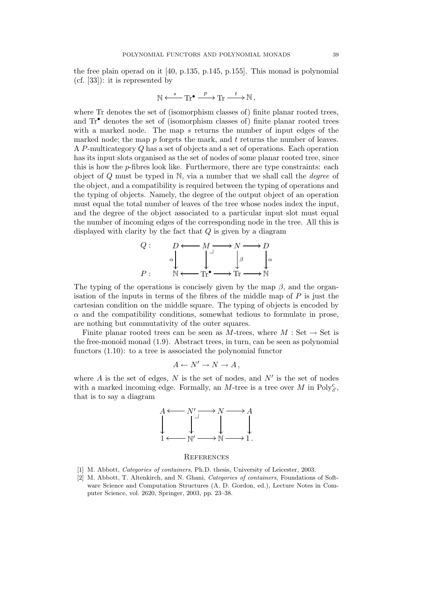the free plain operad on it [40, p.135, p.145, p.155]. This monad is polynomial (cf. [33]): it is represented by

$$
\mathbb{N} \xleftarrow{s} \mathbf{Tr}^{\bullet} \xrightarrow{p} \mathbf{Tr} \xrightarrow{t} \mathbb{N} ,
$$

where Tr denotes the set of (isomorphism classes of) finite planar rooted trees, and Tr• denotes the set of (isomorphism classes of) finite planar rooted trees with a marked node. The map s returns the number of input edges of the marked node; the map  $p$  forgets the mark, and  $t$  returns the number of leaves. A P-multicategory Q has a set of objects and a set of operations. Each operation has its input slots organised as the set of nodes of some planar rooted tree, since this is how the p-fibres look like. Furthermore, there are type constraints: each object of Q must be typed in N, via a number that we shall call the *degree* of the object, and a compatibility is required between the typing of operations and the typing of objects. Namely, the degree of the output object of an operation must equal the total number of leaves of the tree whose nodes index the input, and the degree of the object associated to a particular input slot must equal the number of incoming edges of the corresponding node in the tree. All this is displayed with clarity by the fact that Q is given by a diagram



The typing of the operations is concisely given by the map  $\beta$ , and the organisation of the inputs in terms of the fibres of the middle map of  $P$  is just the cartesian condition on the middle square. The typing of objects is encoded by  $\alpha$  and the compatibility conditions, somewhat tedious to formulate in prose, are nothing but commutativity of the outer squares.

Finite planar rooted trees can be seen as M-trees, where  $M : Set \rightarrow Set$  is the free-monoid monad (1.9). Abstract trees, in turn, can be seen as polynomial functors (1.10): to a tree is associated the polynomial functor

$$
A \leftarrow N' \rightarrow N \rightarrow A,
$$

where  $A$  is the set of edges,  $N$  is the set of nodes, and  $N'$  is the set of nodes with a marked incoming edge. Formally, an M-tree is a tree over M in  $Poly_{\mathscr{E}}^{\mathcal{C}}$ , that is to say a diagram



### **REFERENCES**

- [1] M. Abbott, *Categories of containers*, Ph.D. thesis, University of Leicester, 2003.
- [2] M. Abbott, T. Altenkirch, and N. Ghani, *Categories of containers*, Foundations of Software Science and Computation Structures (A. D. Gordon, ed.), Lecture Notes in Computer Science, vol. 2620, Springer, 2003, pp. 23–38.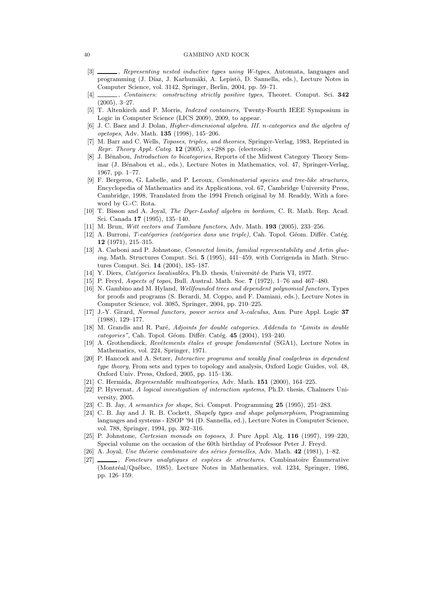#### 40 GAMBINO AND KOCK

- [3] , *Representing nested inductive types using W-types*, Automata, languages and programming (J. Díaz, J. Karhumäki, A. Lepistö, D. Sannella, eds.), Lecture Notes in Computer Science, vol. 3142, Springer, Berlin, 2004, pp. 59–71.
- [4] , *Containers: constructing strictly positive types*, Theoret. Comput. Sci. 342 (2005), 3–27.
- [5] T. Altenkirch and P. Morris, *Indexed containers*, Twenty-Fourth IEEE Symposium in Logic in Computer Science (LICS 2009), 2009, to appear.
- [6] J. C. Baez and J. Dolan, *Higher-dimensional algebra. III.* n*-categories and the algebra of opetopes*, Adv. Math. 135 (1998), 145–206.
- [7] M. Barr and C. Wells, *Toposes, triples, and theories*, Springer-Verlag, 1983, Reprinted in *Repr. Theory Appl. Categ.* 12 (2005), x+288 pp. (electronic).
- [8] J. Bénabou, *Introduction to bicategories*, Reports of the Midwest Category Theory Seminar (J. Bénabou et al., eds.), Lecture Notes in Mathematics, vol. 47, Springer-Verlag, 1967, pp. 1–77.
- [9] F. Bergeron, G. Labelle, and P. Leroux, *Combinatorial species and tree-like structures*, Encyclopedia of Mathematics and its Applications, vol. 67, Cambridge University Press, Cambridge, 1998, Translated from the 1994 French original by M. Readdy, With a foreword by G.-C. Rota.
- [10] T. Bisson and A. Joyal, *The Dyer-Lashof algebra in bordism*, C. R. Math. Rep. Acad. Sci. Canada 17 (1995), 135–140.
- [11] M. Brun, *Witt vectors and Tambara functors*, Adv. Math. 193 (2005), 233–256.
- [12] A. Burroni, *T-catégories (catégories dans une triple)*, Cah. Topol. Géom. Différ. Catég. 12 (1971), 215–315.
- [13] A. Carboni and P. Johnstone, *Connected limits, familial representability and Artin glueing*, Math. Structures Comput. Sci. 5 (1995), 441–459, with Corrigenda in Math. Structures Comput. Sci. 14 (2004), 185–187.
- [14] Y. Diers, *Catégories localisables*, Ph.D. thesis, Université de Paris VI, 1977.
- [15] P. Freyd, *Aspects of topoi*, Bull. Austral. Math. Soc. 7 (1972), 1–76 and 467–480.
- [16] N. Gambino and M. Hyland, *Wellfounded trees and dependent polynomial functors*, Types for proofs and programs (S. Berardi, M. Coppo, and F. Damiani, eds.), Lecture Notes in Computer Science, vol. 3085, Springer, 2004, pp. 210–225.
- [17] J.-Y. Girard, *Normal functors, power series and* λ*-calculus*, Ann. Pure Appl. Logic 37 (1988), 129–177.
- [18] M. Grandis and R. Paré, *Adjoints for double categories. Addenda to "Limits in double categories"*, Cah. Topol. Géom. Différ. Catég. 45 (2004), 193–240.
- [19] A. Grothendieck, *Revêtements étales et groupe fondamental* (SGA1), Lecture Notes in Mathematics, vol. 224, Springer, 1971.
- [20] P. Hancock and A. Setzer, *Interactive programs and weakly final coalgebras in dependent type theory*, From sets and types to topology and analysis, Oxford Logic Guides, vol. 48, Oxford Univ. Press, Oxford, 2005, pp. 115–136.
- [21] C. Hermida, *Representable multicategories*, Adv. Math. 151 (2000), 164–225.
- [22] P. Hyvernat, *A logical investigation of interaction systems*, Ph.D. thesis, Chalmers University, 2005.
- [23] C. B. Jay, *A semantics for shape*, Sci. Comput. Programming 25 (1995), 251–283.
- [24] C. B. Jay and J. R. B. Cockett, *Shapely types and shape polymorphism*, Programming languages and systems - ESOP '94 (D. Sannella, ed.), Lecture Notes in Computer Science, vol. 788, Springer, 1994, pp. 302–316.
- [25] P. Johnstone, *Cartesian monads on toposes*, J. Pure Appl. Alg. 116 (1997), 199–220, Special volume on the occasion of the 60th birthday of Professor Peter J. Freyd.
- [26] A. Joyal, *Une théorie combinatoire des séries formelles*, Adv. Math. 42 (1981), 1–82.
- [27] , *Foncteurs analytiques et esp`eces de structures*, Combinatoire Enumerative ´ (Montréal/Québec, 1985), Lecture Notes in Mathematics, vol. 1234, Springer, 1986, pp. 126–159.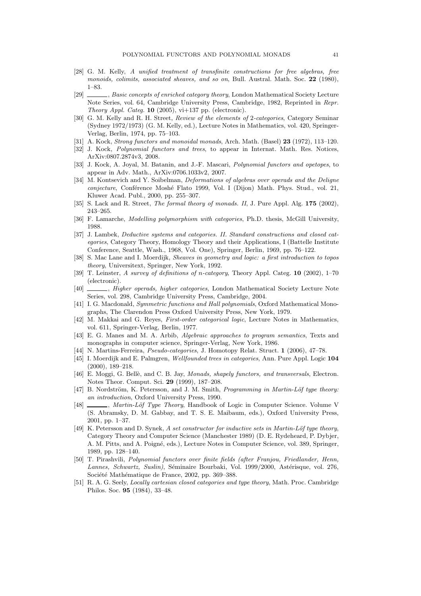- [28] G. M. Kelly, *A unified treatment of transfinite constructions for free algebras, free monoids, colimits, associated sheaves, and so on*, Bull. Austral. Math. Soc. 22 (1980), 1–83.
- [29] , *Basic concepts of enriched category theory*, London Mathematical Society Lecture Note Series, vol. 64, Cambridge University Press, Cambridge, 1982, Reprinted in *Repr. Theory Appl. Categ.* 10 (2005), vi+137 pp. (electronic).
- [30] G. M. Kelly and R. H. Street, *Review of the elements of* 2*-categories*, Category Seminar (Sydney 1972/1973) (G. M. Kelly, ed.), Lecture Notes in Mathematics, vol. 420, Springer-Verlag, Berlin, 1974, pp. 75–103.
- [31] A. Kock, *Strong functors and monoidal monads*, Arch. Math. (Basel) 23 (1972), 113–120.
- [32] J. Kock, *Polynomial functors and trees*, to appear in Internat. Math. Res. Notices, ArXiv:0807.2874v3, 2008.
- [33] J. Kock, A. Joyal, M. Batanin, and J.-F. Mascari, *Polynomial functors and opetopes*, to appear in Adv. Math., ArXiv:0706.1033v2, 2007.
- [34] M. Kontsevich and Y. Soibelman, *Deformations of algebras over operads and the Deligne conjecture*, Conférence Moshé Flato 1999, Vol. I (Dijon) Math. Phys. Stud., vol. 21, Kluwer Acad. Publ., 2000, pp. 255–307.
- [35] S. Lack and R. Street, *The formal theory of monads. II*, J. Pure Appl. Alg. 175 (2002), 243–265.
- [36] F. Lamarche, *Modelling polymorphism with categories*, Ph.D. thesis, McGill University, 1988.
- [37] J. Lambek, *Deductive systems and categories. II. Standard constructions and closed categories*, Category Theory, Homology Theory and their Applications, I (Battelle Institute Conference, Seattle, Wash., 1968, Vol. One), Springer, Berlin, 1969, pp. 76–122.
- [38] S. Mac Lane and I. Moerdijk, *Sheaves in geometry and logic: a first introduction to topos theory*, Universitext, Springer, New York, 1992.
- [39] T. Leinster, *A survey of definitions of* n*-category*, Theory Appl. Categ. 10 (2002), 1–70 (electronic).
- [40] , *Higher operads, higher categories*, London Mathematical Society Lecture Note Series, vol. 298, Cambridge University Press, Cambridge, 2004.
- [41] I. G. Macdonald, *Symmetric functions and Hall polynomials*, Oxford Mathematical Monographs, The Clarendon Press Oxford University Press, New York, 1979.
- [42] M. Makkai and G. Reyes, *First-order categorical logic*, Lecture Notes in Mathematics, vol. 611, Springer-Verlag, Berlin, 1977.
- [43] E. G. Manes and M. A. Arbib, *Algebraic approaches to program semantics*, Texts and monographs in computer science, Springer-Verlag, New York, 1986.
- [44] N. Martins-Ferreira, *Pseudo-categories*, J. Homotopy Relat. Struct. 1 (2006), 47–78.
- [45] I. Moerdijk and E. Palmgren, *Wellfounded trees in categories*, Ann. Pure Appl. Logic 104 (2000), 189–218.
- [46] E. Moggi, G. Bellè, and C. B. Jay, *Monads, shapely functors, and transversals*, Electron. Notes Theor. Comput. Sci. 29 (1999), 187–208.
- [47] B. Nordström, K. Petersson, and J. M. Smith, *Programming in Martin-Löf type theory: an introduction*, Oxford University Press, 1990.
- [48] , *Martin-Löf Type Theory*, Handbook of Logic in Computer Science. Volume V (S. Abramsky, D. M. Gabbay, and T. S. E. Maibaum, eds.), Oxford University Press, 2001, pp. 1–37.
- [49] K. Petersson and D. Synek, *A set constructor for inductive sets in Martin-Löf type theory*, Category Theory and Computer Science (Manchester 1989) (D. E. Rydeheard, P. Dybjer, A. M. Pitts, and A. Poigné, eds.), Lecture Notes in Computer Science, vol. 389, Springer, 1989, pp. 128–140.
- [50] T. Pirashvili, *Polynomial functors over finite fields (after Franjou, Friedlander, Henn, Lannes, Schwartz, Suslin)*, Séminaire Bourbaki, Vol. 1999/2000, Astérisque, vol. 276, Société Mathématique de France, 2002, pp. 369–388.
- [51] R. A. G. Seely, *Locally cartesian closed categories and type theory*, Math. Proc. Cambridge Philos. Soc. 95 (1984), 33–48.